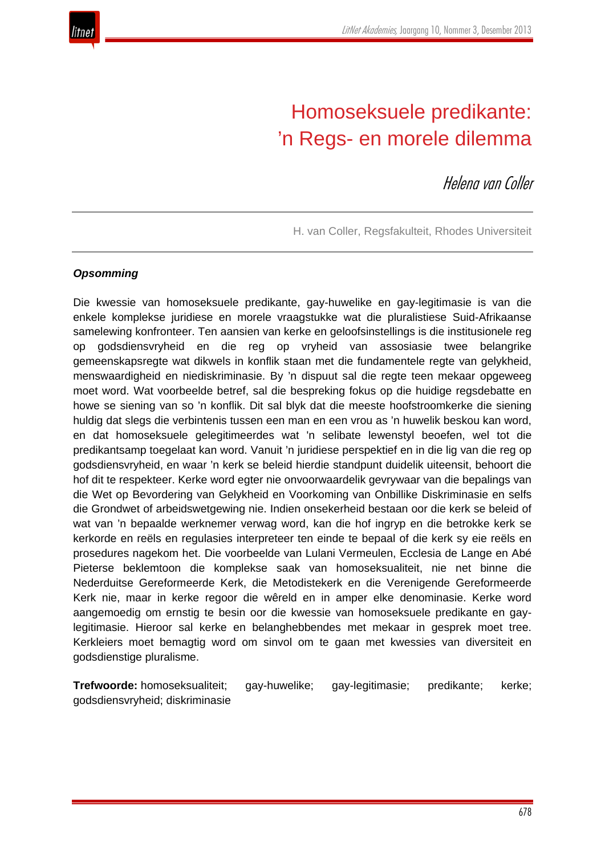

# Homoseksuele predikante: 'n Regs- en morele dilemma

Helena van Coller

H. van Coller, Regsfakulteit, Rhodes Universiteit

#### *Opsomming*

Die kwessie van homoseksuele predikante, gay-huwelike en gay-legitimasie is van die enkele komplekse juridiese en morele vraagstukke wat die pluralistiese Suid-Afrikaanse samelewing konfronteer. Ten aansien van kerke en geloofsinstellings is die institusionele reg op godsdiensvryheid en die reg op vryheid van assosiasie twee belangrike gemeenskapsregte wat dikwels in konflik staan met die fundamentele regte van gelykheid, menswaardigheid en niediskriminasie. By 'n dispuut sal die regte teen mekaar opgeweeg moet word. Wat voorbeelde betref, sal die bespreking fokus op die huidige regsdebatte en howe se siening van so 'n konflik. Dit sal blyk dat die meeste hoofstroomkerke die siening huldig dat slegs die verbintenis tussen een man en een vrou as 'n huwelik beskou kan word, en dat homoseksuele gelegitimeerdes wat 'n selibate lewenstyl beoefen, wel tot die predikantsamp toegelaat kan word. Vanuit 'n juridiese perspektief en in die lig van die reg op godsdiensvryheid, en waar 'n kerk se beleid hierdie standpunt duidelik uiteensit, behoort die hof dit te respekteer. Kerke word egter nie onvoorwaardelik gevrywaar van die bepalings van die Wet op Bevordering van Gelykheid en Voorkoming van Onbillike Diskriminasie en selfs die Grondwet of arbeidswetgewing nie. Indien onsekerheid bestaan oor die kerk se beleid of wat van 'n bepaalde werknemer verwag word, kan die hof ingryp en die betrokke kerk se kerkorde en reëls en regulasies interpreteer ten einde te bepaal of die kerk sy eie reëls en prosedures nagekom het. Die voorbeelde van Lulani Vermeulen, Ecclesia de Lange en Abé Pieterse beklemtoon die komplekse saak van homoseksualiteit, nie net binne die Nederduitse Gereformeerde Kerk, die Metodistekerk en die Verenigende Gereformeerde Kerk nie, maar in kerke regoor die wêreld en in amper elke denominasie. Kerke word aangemoedig om ernstig te besin oor die kwessie van homoseksuele predikante en gaylegitimasie. Hieroor sal kerke en belanghebbendes met mekaar in gesprek moet tree. Kerkleiers moet bemagtig word om sinvol om te gaan met kwessies van diversiteit en godsdienstige pluralisme.

**Trefwoorde:** homoseksualiteit; gay-huwelike; gay-legitimasie; predikante; kerke; godsdiensvryheid; diskriminasie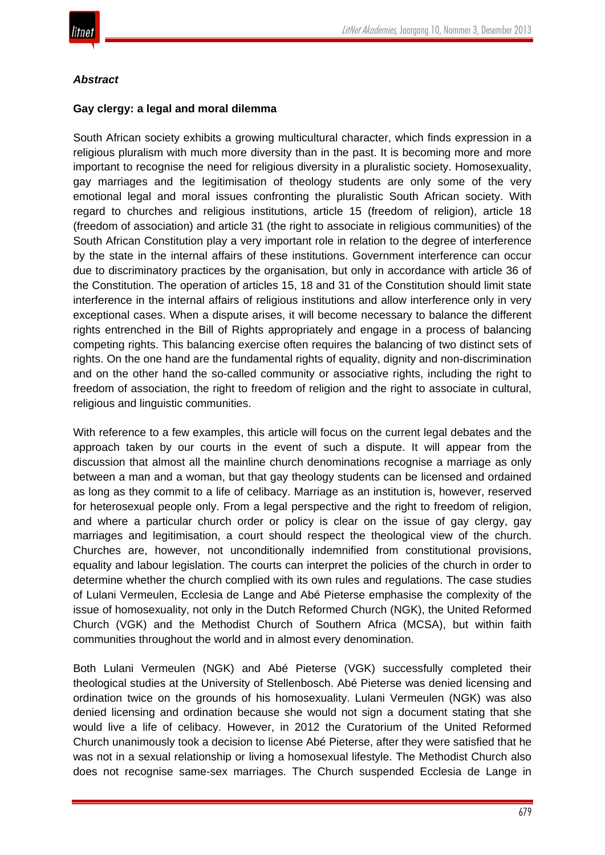

#### *Abstract*

### **Gay clergy: a legal and moral dilemma**

South African society exhibits a growing multicultural character, which finds expression in a religious pluralism with much more diversity than in the past. It is becoming more and more important to recognise the need for religious diversity in a pluralistic society. Homosexuality, gay marriages and the legitimisation of theology students are only some of the very emotional legal and moral issues confronting the pluralistic South African society. With regard to churches and religious institutions, article 15 (freedom of religion), article 18 (freedom of association) and article 31 (the right to associate in religious communities) of the South African Constitution play a very important role in relation to the degree of interference by the state in the internal affairs of these institutions. Government interference can occur due to discriminatory practices by the organisation, but only in accordance with article 36 of the Constitution. The operation of articles 15, 18 and 31 of the Constitution should limit state interference in the internal affairs of religious institutions and allow interference only in very exceptional cases. When a dispute arises, it will become necessary to balance the different rights entrenched in the Bill of Rights appropriately and engage in a process of balancing competing rights. This balancing exercise often requires the balancing of two distinct sets of rights. On the one hand are the fundamental rights of equality, dignity and non-discrimination and on the other hand the so-called community or associative rights, including the right to freedom of association, the right to freedom of religion and the right to associate in cultural, religious and linguistic communities.

With reference to a few examples, this article will focus on the current legal debates and the approach taken by our courts in the event of such a dispute. It will appear from the discussion that almost all the mainline church denominations recognise a marriage as only between a man and a woman, but that gay theology students can be licensed and ordained as long as they commit to a life of celibacy. Marriage as an institution is, however, reserved for heterosexual people only. From a legal perspective and the right to freedom of religion, and where a particular church order or policy is clear on the issue of gay clergy, gay marriages and legitimisation, a court should respect the theological view of the church. Churches are, however, not unconditionally indemnified from constitutional provisions, equality and labour legislation. The courts can interpret the policies of the church in order to determine whether the church complied with its own rules and regulations. The case studies of Lulani Vermeulen, Ecclesia de Lange and Abé Pieterse emphasise the complexity of the issue of homosexuality, not only in the Dutch Reformed Church (NGK), the United Reformed Church (VGK) and the Methodist Church of Southern Africa (MCSA), but within faith communities throughout the world and in almost every denomination.

Both Lulani Vermeulen (NGK) and Abé Pieterse (VGK) successfully completed their theological studies at the University of Stellenbosch. Abé Pieterse was denied licensing and ordination twice on the grounds of his homosexuality. Lulani Vermeulen (NGK) was also denied licensing and ordination because she would not sign a document stating that she would live a life of celibacy. However, in 2012 the Curatorium of the United Reformed Church unanimously took a decision to license Abé Pieterse, after they were satisfied that he was not in a sexual relationship or living a homosexual lifestyle. The Methodist Church also does not recognise same-sex marriages. The Church suspended Ecclesia de Lange in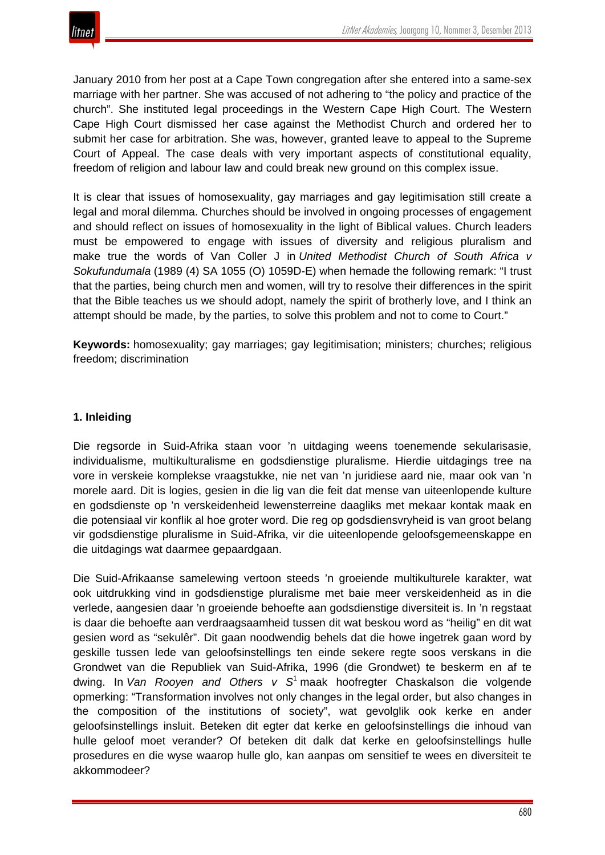January 2010 from her post at a Cape Town congregation after she entered into a same-sex marriage with her partner. She was accused of not adhering to "the policy and practice of the church". She instituted legal proceedings in the Western Cape High Court. The Western Cape High Court dismissed her case against the Methodist Church and ordered her to submit her case for arbitration. She was, however, granted leave to appeal to the Supreme Court of Appeal. The case deals with very important aspects of constitutional equality, freedom of religion and labour law and could break new ground on this complex issue.

It is clear that issues of homosexuality, gay marriages and gay legitimisation still create a legal and moral dilemma. Churches should be involved in ongoing processes of engagement and should reflect on issues of homosexuality in the light of Biblical values. Church leaders must be empowered to engage with issues of diversity and religious pluralism and make true the words of Van Coller J in *United Methodist Church of South Africa v Sokufundumala* (1989 (4) SA 1055 (O) 1059D-E) when hemade the following remark: "I trust that the parties, being church men and women, will try to resolve their differences in the spirit that the Bible teaches us we should adopt, namely the spirit of brotherly love, and I think an attempt should be made, by the parties, to solve this problem and not to come to Court."

**Keywords:** homosexuality; gay marriages; gay legitimisation; ministers; churches; religious freedom; discrimination

# **1. Inleiding**

Die regsorde in Suid-Afrika staan voor 'n uitdaging weens toenemende sekularisasie, individualisme, multikulturalisme en godsdienstige pluralisme. Hierdie uitdagings tree na vore in verskeie komplekse vraagstukke, nie net van 'n juridiese aard nie, maar ook van 'n morele aard. Dit is logies, gesien in die lig van die feit dat mense van uiteenlopende kulture en godsdienste op 'n verskeidenheid lewensterreine daagliks met mekaar kontak maak en die potensiaal vir konflik al hoe groter word. Die reg op godsdiensvryheid is van groot belang vir godsdienstige pluralisme in Suid-Afrika, vir die uiteenlopende geloofsgemeenskappe en die uitdagings wat daarmee gepaardgaan.

Die Suid-Afrikaanse samelewing vertoon steeds 'n groeiende multikulturele karakter, wat ook uitdrukking vind in godsdienstige pluralisme met baie meer verskeidenheid as in die verlede, aangesien daar 'n groeiende behoefte aan godsdienstige diversiteit is. In 'n regstaat is daar die behoefte aan verdraagsaamheid tussen dit wat beskou word as "heilig" en dit wat gesien word as "sekulêr". Dit gaan noodwendig behels dat die howe ingetrek gaan word by geskille tussen lede van geloofsinstellings ten einde sekere regte soos verskans in die Grondwet van die Republiek van Suid-Afrika, 1996 (die Grondwet) te beskerm en af te dwing. In *Van Rooyen and Others v S*<sup>1</sup> maak hoofregter Chaskalson die volgende opmerking: "Transformation involves not only changes in the legal order, but also changes in the composition of the institutions of society", wat gevolglik ook kerke en ander geloofsinstellings insluit. Beteken dit egter dat kerke en geloofsinstellings die inhoud van hulle geloof moet verander? Of beteken dit dalk dat kerke en geloofsinstellings hulle prosedures en die wyse waarop hulle glo, kan aanpas om sensitief te wees en diversiteit te akkommodeer?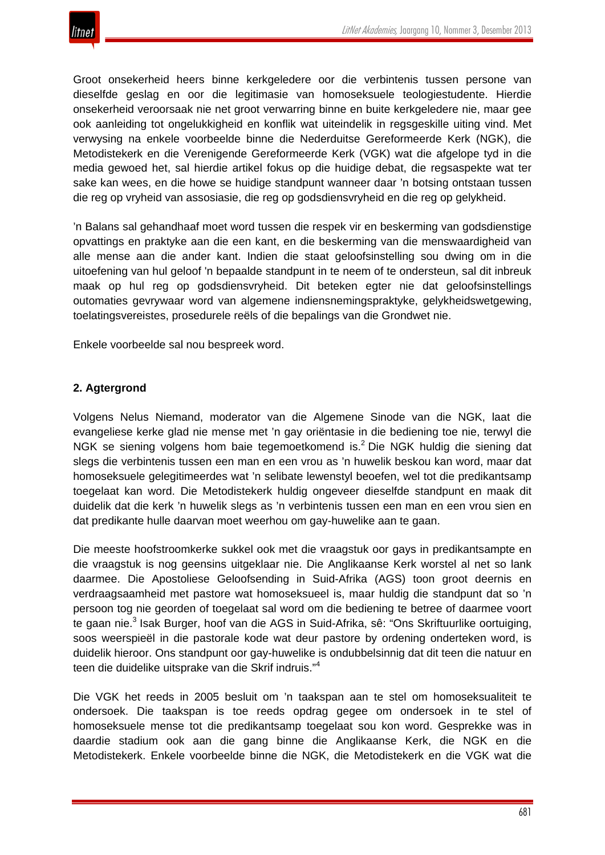

Groot onsekerheid heers binne kerkgeledere oor die verbintenis tussen persone van dieselfde geslag en oor die legitimasie van homoseksuele teologiestudente. Hierdie onsekerheid veroorsaak nie net groot verwarring binne en buite kerkgeledere nie, maar gee ook aanleiding tot ongelukkigheid en konflik wat uiteindelik in regsgeskille uiting vind. Met verwysing na enkele voorbeelde binne die Nederduitse Gereformeerde Kerk (NGK), die Metodistekerk en die Verenigende Gereformeerde Kerk (VGK) wat die afgelope tyd in die media gewoed het, sal hierdie artikel fokus op die huidige debat, die regsaspekte wat ter sake kan wees, en die howe se huidige standpunt wanneer daar 'n botsing ontstaan tussen die reg op vryheid van assosiasie, die reg op godsdiensvryheid en die reg op gelykheid.

'n Balans sal gehandhaaf moet word tussen die respek vir en beskerming van godsdienstige opvattings en praktyke aan die een kant, en die beskerming van die menswaardigheid van alle mense aan die ander kant. Indien die staat geloofsinstelling sou dwing om in die uitoefening van hul geloof 'n bepaalde standpunt in te neem of te ondersteun, sal dit inbreuk maak op hul reg op godsdiensvryheid. Dit beteken egter nie dat geloofsinstellings outomaties gevrywaar word van algemene indiensnemingspraktyke, gelykheidswetgewing, toelatingsvereistes, prosedurele reëls of die bepalings van die Grondwet nie.

Enkele voorbeelde sal nou bespreek word.

#### **2. Agtergrond**

Volgens Nelus Niemand, moderator van die Algemene Sinode van die NGK, laat die evangeliese kerke glad nie mense met 'n gay oriëntasie in die bediening toe nie, terwyl die NGK se siening volgens hom baie tegemoetkomend is.<sup>2</sup> Die NGK huldig die siening dat slegs die verbintenis tussen een man en een vrou as 'n huwelik beskou kan word, maar dat homoseksuele gelegitimeerdes wat 'n selibate lewenstyl beoefen, wel tot die predikantsamp toegelaat kan word. Die Metodistekerk huldig ongeveer dieselfde standpunt en maak dit duidelik dat die kerk 'n huwelik slegs as 'n verbintenis tussen een man en een vrou sien en dat predikante hulle daarvan moet weerhou om gay-huwelike aan te gaan.

Die meeste hoofstroomkerke sukkel ook met die vraagstuk oor gays in predikantsampte en die vraagstuk is nog geensins uitgeklaar nie. Die Anglikaanse Kerk worstel al net so lank daarmee. Die Apostoliese Geloofsending in Suid-Afrika (AGS) toon groot deernis en verdraagsaamheid met pastore wat homoseksueel is, maar huldig die standpunt dat so 'n persoon tog nie georden of toegelaat sal word om die bediening te betree of daarmee voort te gaan nie.<sup>3</sup> Isak Burger, hoof van die AGS in Suid-Afrika, sê: "Ons Skriftuurlike oortuiging, soos weerspieël in die pastorale kode wat deur pastore by ordening onderteken word, is duidelik hieroor. Ons standpunt oor gay-huwelike is ondubbelsinnig dat dit teen die natuur en teen die duidelike uitsprake van die Skrif indruis."<sup>4</sup>

Die VGK het reeds in 2005 besluit om 'n taakspan aan te stel om homoseksualiteit te ondersoek. Die taakspan is toe reeds opdrag gegee om ondersoek in te stel of homoseksuele mense tot die predikantsamp toegelaat sou kon word. Gesprekke was in daardie stadium ook aan die gang binne die Anglikaanse Kerk, die NGK en die Metodistekerk. Enkele voorbeelde binne die NGK, die Metodistekerk en die VGK wat die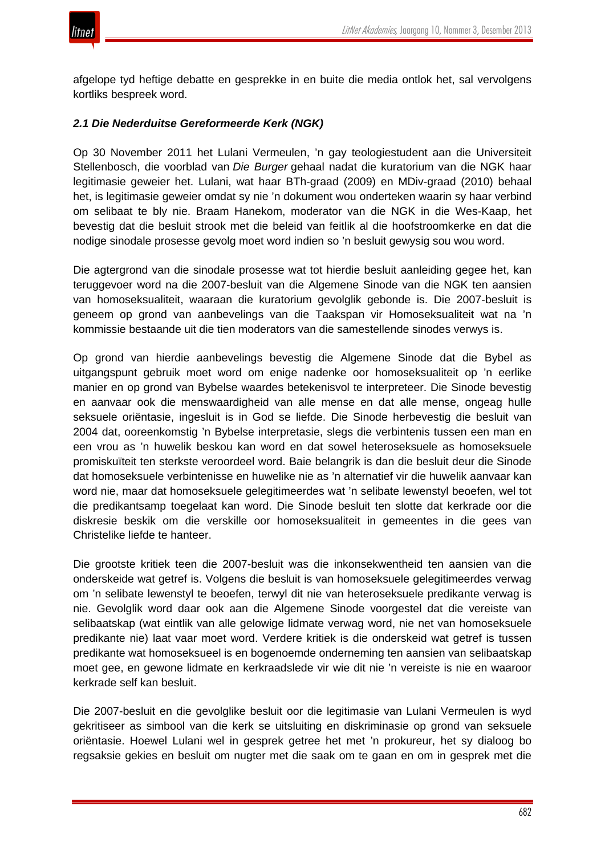afgelope tyd heftige debatte en gesprekke in en buite die media ontlok het, sal vervolgens kortliks bespreek word.

# *2.1 Die Nederduitse Gereformeerde Kerk (NGK)*

Op 30 November 2011 het Lulani Vermeulen, 'n gay teologiestudent aan die Universiteit Stellenbosch, die voorblad van *Die Burger* gehaal nadat die kuratorium van die NGK haar legitimasie geweier het. Lulani, wat haar BTh-graad (2009) en MDiv-graad (2010) behaal het, is legitimasie geweier omdat sy nie 'n dokument wou onderteken waarin sy haar verbind om selibaat te bly nie. Braam Hanekom, moderator van die NGK in die Wes-Kaap, het bevestig dat die besluit strook met die beleid van feitlik al die hoofstroomkerke en dat die nodige sinodale prosesse gevolg moet word indien so 'n besluit gewysig sou wou word.

Die agtergrond van die sinodale prosesse wat tot hierdie besluit aanleiding gegee het, kan teruggevoer word na die 2007-besluit van die Algemene Sinode van die NGK ten aansien van homoseksualiteit, waaraan die kuratorium gevolglik gebonde is. Die 2007-besluit is geneem op grond van aanbevelings van die Taakspan vir Homoseksualiteit wat na 'n kommissie bestaande uit die tien moderators van die samestellende sinodes verwys is.

Op grond van hierdie aanbevelings bevestig die Algemene Sinode dat die Bybel as uitgangspunt gebruik moet word om enige nadenke oor homoseksualiteit op 'n eerlike manier en op grond van Bybelse waardes betekenisvol te interpreteer. Die Sinode bevestig en aanvaar ook die menswaardigheid van alle mense en dat alle mense, ongeag hulle seksuele oriëntasie, ingesluit is in God se liefde. Die Sinode herbevestig die besluit van 2004 dat, ooreenkomstig 'n Bybelse interpretasie, slegs die verbintenis tussen een man en een vrou as 'n huwelik beskou kan word en dat sowel heteroseksuele as homoseksuele promiskuïteit ten sterkste veroordeel word. Baie belangrik is dan die besluit deur die Sinode dat homoseksuele verbintenisse en huwelike nie as 'n alternatief vir die huwelik aanvaar kan word nie, maar dat homoseksuele gelegitimeerdes wat 'n selibate lewenstyl beoefen, wel tot die predikantsamp toegelaat kan word. Die Sinode besluit ten slotte dat kerkrade oor die diskresie beskik om die verskille oor homoseksualiteit in gemeentes in die gees van Christelike liefde te hanteer.

Die grootste kritiek teen die 2007-besluit was die inkonsekwentheid ten aansien van die onderskeide wat getref is. Volgens die besluit is van homoseksuele gelegitimeerdes verwag om 'n selibate lewenstyl te beoefen, terwyl dit nie van heteroseksuele predikante verwag is nie. Gevolglik word daar ook aan die Algemene Sinode voorgestel dat die vereiste van selibaatskap (wat eintlik van alle gelowige lidmate verwag word, nie net van homoseksuele predikante nie) laat vaar moet word. Verdere kritiek is die onderskeid wat getref is tussen predikante wat homoseksueel is en bogenoemde onderneming ten aansien van selibaatskap moet gee, en gewone lidmate en kerkraadslede vir wie dit nie 'n vereiste is nie en waaroor kerkrade self kan besluit.

Die 2007-besluit en die gevolglike besluit oor die legitimasie van Lulani Vermeulen is wyd gekritiseer as simbool van die kerk se uitsluiting en diskriminasie op grond van seksuele oriëntasie. Hoewel Lulani wel in gesprek getree het met 'n prokureur, het sy dialoog bo regsaksie gekies en besluit om nugter met die saak om te gaan en om in gesprek met die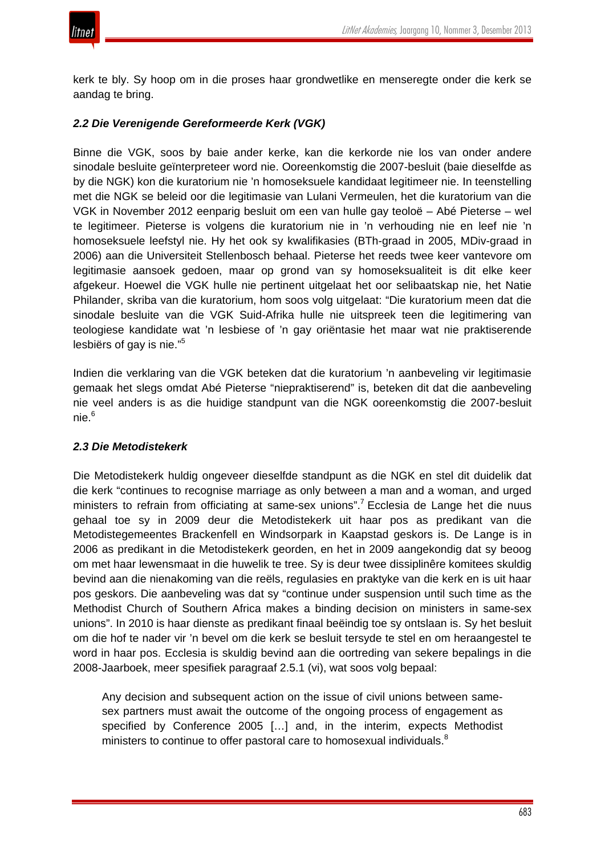

kerk te bly. Sy hoop om in die proses haar grondwetlike en menseregte onder die kerk se aandag te bring.

## *2.2 Die Verenigende Gereformeerde Kerk (VGK)*

Binne die VGK, soos by baie ander kerke, kan die kerkorde nie los van onder andere sinodale besluite geïnterpreteer word nie. Ooreenkomstig die 2007-besluit (baie dieselfde as by die NGK) kon die kuratorium nie 'n homoseksuele kandidaat legitimeer nie. In teenstelling met die NGK se beleid oor die legitimasie van Lulani Vermeulen, het die kuratorium van die VGK in November 2012 eenparig besluit om een van hulle gay teoloë – Abé Pieterse – wel te legitimeer. Pieterse is volgens die kuratorium nie in 'n verhouding nie en leef nie 'n homoseksuele leefstyl nie. Hy het ook sy kwalifikasies (BTh-graad in 2005, MDiv-graad in 2006) aan die Universiteit Stellenbosch behaal. Pieterse het reeds twee keer vantevore om legitimasie aansoek gedoen, maar op grond van sy homoseksualiteit is dit elke keer afgekeur. Hoewel die VGK hulle nie pertinent uitgelaat het oor selibaatskap nie, het Natie Philander, skriba van die kuratorium, hom soos volg uitgelaat: "Die kuratorium meen dat die sinodale besluite van die VGK Suid-Afrika hulle nie uitspreek teen die legitimering van teologiese kandidate wat 'n lesbiese of 'n gay oriëntasie het maar wat nie praktiserende lesbiërs of gay is nie."<sup>5</sup>

Indien die verklaring van die VGK beteken dat die kuratorium 'n aanbeveling vir legitimasie gemaak het slegs omdat Abé Pieterse "niepraktiserend" is, beteken dit dat die aanbeveling nie veel anders is as die huidige standpunt van die NGK ooreenkomstig die 2007-besluit nie.<sup>6</sup>

# *2.3 Die Metodistekerk*

Die Metodistekerk huldig ongeveer dieselfde standpunt as die NGK en stel dit duidelik dat die kerk "continues to recognise marriage as only between a man and a woman, and urged ministers to refrain from officiating at same-sex unions".<sup>7</sup> Ecclesia de Lange het die nuus gehaal toe sy in 2009 deur die Metodistekerk uit haar pos as predikant van die Metodistegemeentes Brackenfell en Windsorpark in Kaapstad geskors is. De Lange is in 2006 as predikant in die Metodistekerk georden, en het in 2009 aangekondig dat sy beoog om met haar lewensmaat in die huwelik te tree. Sy is deur twee dissiplinêre komitees skuldig bevind aan die nienakoming van die reëls, regulasies en praktyke van die kerk en is uit haar pos geskors. Die aanbeveling was dat sy "continue under suspension until such time as the Methodist Church of Southern Africa makes a binding decision on ministers in same-sex unions". In 2010 is haar dienste as predikant finaal beëindig toe sy ontslaan is. Sy het besluit om die hof te nader vir 'n bevel om die kerk se besluit tersyde te stel en om heraangestel te word in haar pos. Ecclesia is skuldig bevind aan die oortreding van sekere bepalings in die 2008-Jaarboek, meer spesifiek paragraaf 2.5.1 (vi), wat soos volg bepaal:

Any decision and subsequent action on the issue of civil unions between samesex partners must await the outcome of the ongoing process of engagement as specified by Conference 2005 […] and, in the interim, expects Methodist ministers to continue to offer pastoral care to homosexual individuals.<sup>8</sup>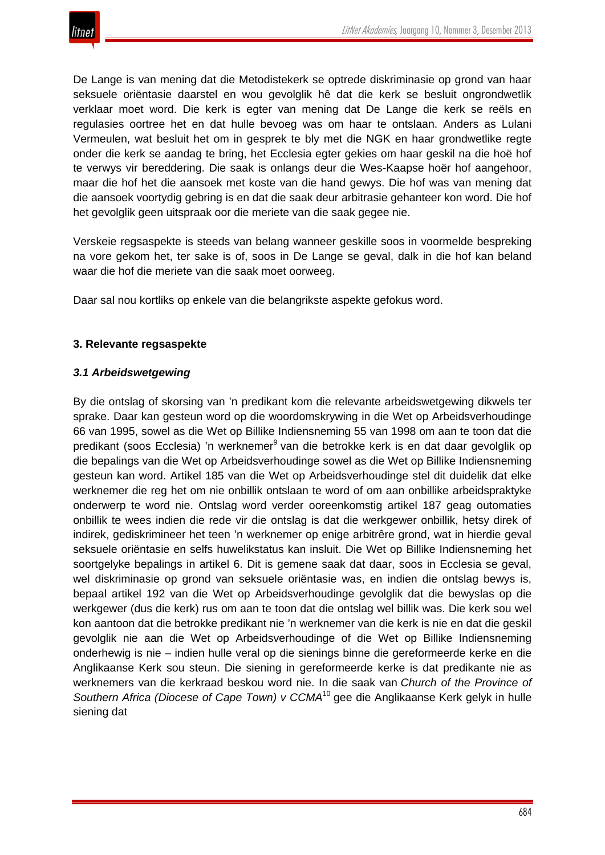De Lange is van mening dat die Metodistekerk se optrede diskriminasie op grond van haar seksuele oriëntasie daarstel en wou gevolglik hê dat die kerk se besluit ongrondwetlik verklaar moet word. Die kerk is egter van mening dat De Lange die kerk se reëls en regulasies oortree het en dat hulle bevoeg was om haar te ontslaan. Anders as Lulani Vermeulen, wat besluit het om in gesprek te bly met die NGK en haar grondwetlike regte onder die kerk se aandag te bring, het Ecclesia egter gekies om haar geskil na die hoë hof te verwys vir bereddering. Die saak is onlangs deur die Wes-Kaapse hoër hof aangehoor, maar die hof het die aansoek met koste van die hand gewys. Die hof was van mening dat die aansoek voortydig gebring is en dat die saak deur arbitrasie gehanteer kon word. Die hof het gevolglik geen uitspraak oor die meriete van die saak gegee nie.

Verskeie regsaspekte is steeds van belang wanneer geskille soos in voormelde bespreking na vore gekom het, ter sake is of, soos in De Lange se geval, dalk in die hof kan beland waar die hof die meriete van die saak moet oorweeg.

Daar sal nou kortliks op enkele van die belangrikste aspekte gefokus word.

#### **3. Relevante regsaspekte**

#### *3.1 Arbeidswetgewing*

By die ontslag of skorsing van 'n predikant kom die relevante arbeidswetgewing dikwels ter sprake. Daar kan gesteun word op die woordomskrywing in die Wet op Arbeidsverhoudinge 66 van 1995, sowel as die Wet op Billike Indiensneming 55 van 1998 om aan te toon dat die predikant (soos Ecclesia) 'n werknemer<sup>9</sup> van die betrokke kerk is en dat daar gevolglik op die bepalings van die Wet op Arbeidsverhoudinge sowel as die Wet op Billike Indiensneming gesteun kan word. Artikel 185 van die Wet op Arbeidsverhoudinge stel dit duidelik dat elke werknemer die reg het om nie onbillik ontslaan te word of om aan onbillike arbeidspraktyke onderwerp te word nie. Ontslag word verder ooreenkomstig artikel 187 geag outomaties onbillik te wees indien die rede vir die ontslag is dat die werkgewer onbillik, hetsy direk of indirek, gediskrimineer het teen 'n werknemer op enige arbitrêre grond, wat in hierdie geval seksuele oriëntasie en selfs huwelikstatus kan insluit. Die Wet op Billike Indiensneming het soortgelyke bepalings in artikel 6. Dit is gemene saak dat daar, soos in Ecclesia se geval, wel diskriminasie op grond van seksuele oriëntasie was, en indien die ontslag bewys is, bepaal artikel 192 van die Wet op Arbeidsverhoudinge gevolglik dat die bewyslas op die werkgewer (dus die kerk) rus om aan te toon dat die ontslag wel billik was. Die kerk sou wel kon aantoon dat die betrokke predikant nie 'n werknemer van die kerk is nie en dat die geskil gevolglik nie aan die Wet op Arbeidsverhoudinge of die Wet op Billike Indiensneming onderhewig is nie – indien hulle veral op die sienings binne die gereformeerde kerke en die Anglikaanse Kerk sou steun. Die siening in gereformeerde kerke is dat predikante nie as werknemers van die kerkraad beskou word nie. In die saak van *Church of the Province of Southern Africa (Diocese of Cape Town) v CCMA*<sup>10</sup> gee die Anglikaanse Kerk gelyk in hulle siening dat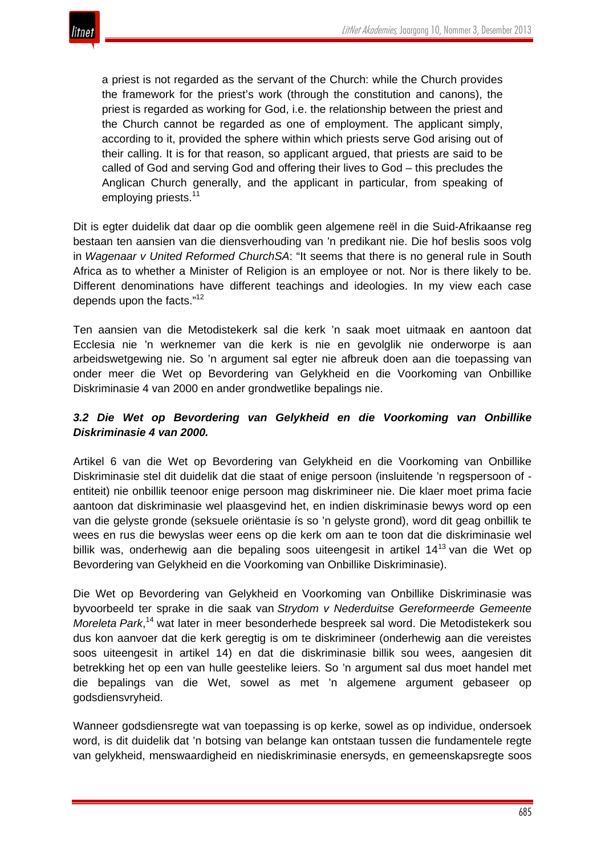a priest is not regarded as the servant of the Church: while the Church provides the framework for the priest's work (through the constitution and canons), the priest is regarded as working for God, i.e. the relationship between the priest and the Church cannot be regarded as one of employment. The applicant simply, according to it, provided the sphere within which priests serve God arising out of their calling. It is for that reason, so applicant argued, that priests are said to be called of God and serving God and offering their lives to God – this precludes the Anglican Church generally, and the applicant in particular, from speaking of employing priests.<sup>11</sup>

Dit is egter duidelik dat daar op die oomblik geen algemene reël in die Suid-Afrikaanse reg bestaan ten aansien van die diensverhouding van 'n predikant nie. Die hof beslis soos volg in *Wagenaar v United Reformed ChurchSA*: "It seems that there is no general rule in South Africa as to whether a Minister of Religion is an employee or not. Nor is there likely to be. Different denominations have different teachings and ideologies. In my view each case depends upon the facts."<sup>12</sup>

Ten aansien van die Metodistekerk sal die kerk 'n saak moet uitmaak en aantoon dat Ecclesia nie 'n werknemer van die kerk is nie en gevolglik nie onderworpe is aan arbeidswetgewing nie. So 'n argument sal egter nie afbreuk doen aan die toepassing van onder meer die Wet op Bevordering van Gelykheid en die Voorkoming van Onbillike Diskriminasie 4 van 2000 en ander grondwetlike bepalings nie.

# *3.2 Die Wet op Bevordering van Gelykheid en die Voorkoming van Onbillike Diskriminasie 4 van 2000.*

Artikel 6 van die Wet op Bevordering van Gelykheid en die Voorkoming van Onbillike Diskriminasie stel dit duidelik dat die staat of enige persoon (insluitende 'n regspersoon of entiteit) nie onbillik teenoor enige persoon mag diskrimineer nie. Die klaer moet prima facie aantoon dat diskriminasie wel plaasgevind het, en indien diskriminasie bewys word op een van die gelyste gronde (seksuele oriëntasie ís so 'n gelyste grond), word dit geag onbillik te wees en rus die bewyslas weer eens op die kerk om aan te toon dat die diskriminasie wel billik was, onderhewig aan die bepaling soos uiteengesit in artikel 14<sup>13</sup> van die Wet op Bevordering van Gelykheid en die Voorkoming van Onbillike Diskriminasie).

Die Wet op Bevordering van Gelykheid en Voorkoming van Onbillike Diskriminasie was byvoorbeeld ter sprake in die saak van *Strydom v Nederduitse Gereformeerde Gemeente Moreleta Park*, <sup>14</sup> wat later in meer besonderhede bespreek sal word. Die Metodistekerk sou dus kon aanvoer dat die kerk geregtig is om te diskrimineer (onderhewig aan die vereistes soos uiteengesit in artikel 14) en dat die diskriminasie billik sou wees, aangesien dit betrekking het op een van hulle geestelike leiers. So 'n argument sal dus moet handel met die bepalings van die Wet, sowel as met 'n algemene argument gebaseer op godsdiensvryheid.

Wanneer godsdiensregte wat van toepassing is op kerke, sowel as op individue, ondersoek word, is dit duidelik dat 'n botsing van belange kan ontstaan tussen die fundamentele regte van gelykheid, menswaardigheid en niediskriminasie enersyds, en gemeenskapsregte soos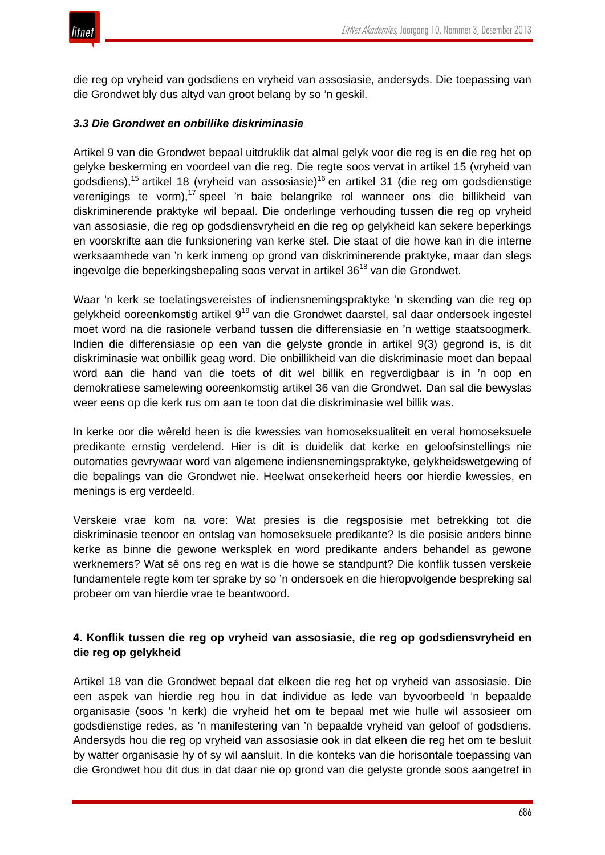

die reg op vryheid van godsdiens en vryheid van assosiasie, andersyds. Die toepassing van die Grondwet bly dus altyd van groot belang by so 'n geskil.

#### *3.3 Die Grondwet en onbillike diskriminasie*

Artikel 9 van die Grondwet bepaal uitdruklik dat almal gelyk voor die reg is en die reg het op gelyke beskerming en voordeel van die reg. Die regte soos vervat in artikel 15 (vryheid van godsdiens),<sup>15</sup> artikel 18 (vryheid van assosiasie)<sup>16</sup> en artikel 31 (die reg om godsdienstige verenigings te vorm),<sup>17</sup> speel 'n baie belangrike rol wanneer ons die billikheid van diskriminerende praktyke wil bepaal. Die onderlinge verhouding tussen die reg op vryheid van assosiasie, die reg op godsdiensvryheid en die reg op gelykheid kan sekere beperkings en voorskrifte aan die funksionering van kerke stel. Die staat of die howe kan in die interne werksaamhede van 'n kerk inmeng op grond van diskriminerende praktyke, maar dan slegs ingevolge die beperkingsbepaling soos vervat in artikel 36<sup>18</sup> van die Grondwet.

Waar 'n kerk se toelatingsvereistes of indiensnemingspraktyke 'n skending van die reg op gelykheid ooreenkomstig artikel 9<sup>19</sup> van die Grondwet daarstel, sal daar ondersoek ingestel moet word na die rasionele verband tussen die differensiasie en 'n wettige staatsoogmerk. Indien die differensiasie op een van die gelyste gronde in artikel 9(3) gegrond is, is dit diskriminasie wat onbillik geag word. Die onbillikheid van die diskriminasie moet dan bepaal word aan die hand van die toets of dit wel billik en regverdigbaar is in 'n oop en demokratiese samelewing ooreenkomstig artikel 36 van die Grondwet. Dan sal die bewyslas weer eens op die kerk rus om aan te toon dat die diskriminasie wel billik was.

In kerke oor die wêreld heen is die kwessies van homoseksualiteit en veral homoseksuele predikante ernstig verdelend. Hier is dit is duidelik dat kerke en geloofsinstellings nie outomaties gevrywaar word van algemene indiensnemingspraktyke, gelykheidswetgewing of die bepalings van die Grondwet nie. Heelwat onsekerheid heers oor hierdie kwessies, en menings is erg verdeeld.

Verskeie vrae kom na vore: Wat presies is die regsposisie met betrekking tot die diskriminasie teenoor en ontslag van homoseksuele predikante? Is die posisie anders binne kerke as binne die gewone werksplek en word predikante anders behandel as gewone werknemers? Wat sê ons reg en wat is die howe se standpunt? Die konflik tussen verskeie fundamentele regte kom ter sprake by so 'n ondersoek en die hieropvolgende bespreking sal probeer om van hierdie vrae te beantwoord.

# **4. Konflik tussen die reg op vryheid van assosiasie, die reg op godsdiensvryheid en die reg op gelykheid**

Artikel 18 van die Grondwet bepaal dat elkeen die reg het op vryheid van assosiasie. Die een aspek van hierdie reg hou in dat individue as lede van byvoorbeeld 'n bepaalde organisasie (soos 'n kerk) die vryheid het om te bepaal met wie hulle wil assosieer om godsdienstige redes, as 'n manifestering van 'n bepaalde vryheid van geloof of godsdiens. Andersyds hou die reg op vryheid van assosiasie ook in dat elkeen die reg het om te besluit by watter organisasie hy of sy wil aansluit. In die konteks van die horisontale toepassing van die Grondwet hou dit dus in dat daar nie op grond van die gelyste gronde soos aangetref in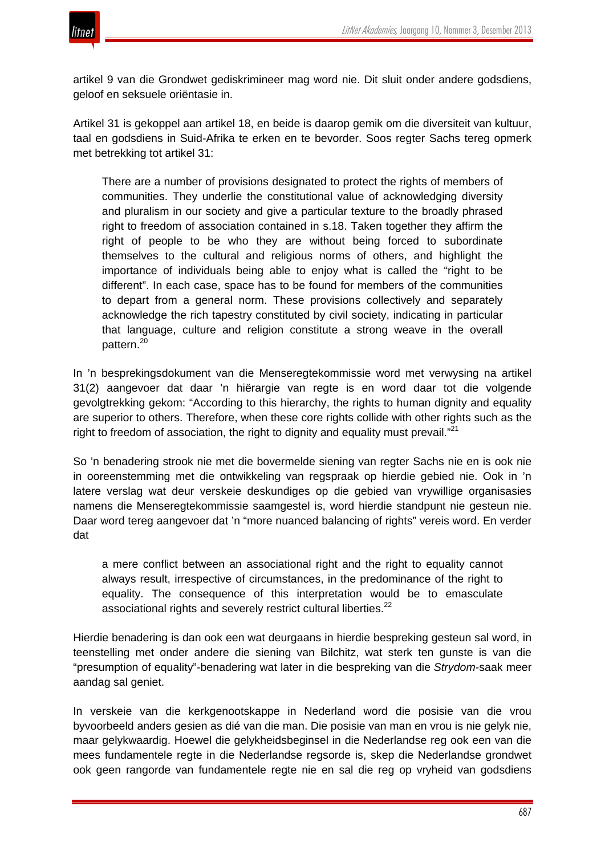

artikel 9 van die Grondwet gediskrimineer mag word nie. Dit sluit onder andere godsdiens, geloof en seksuele oriëntasie in.

Artikel 31 is gekoppel aan artikel 18, en beide is daarop gemik om die diversiteit van kultuur, taal en godsdiens in Suid-Afrika te erken en te bevorder. Soos regter Sachs tereg opmerk met betrekking tot artikel 31:

There are a number of provisions designated to protect the rights of members of communities. They underlie the constitutional value of acknowledging diversity and pluralism in our society and give a particular texture to the broadly phrased right to freedom of association contained in s.18. Taken together they affirm the right of people to be who they are without being forced to subordinate themselves to the cultural and religious norms of others, and highlight the importance of individuals being able to enjoy what is called the "right to be different". In each case, space has to be found for members of the communities to depart from a general norm. These provisions collectively and separately acknowledge the rich tapestry constituted by civil society, indicating in particular that language, culture and religion constitute a strong weave in the overall pattern.<sup>20</sup>

In 'n besprekingsdokument van die Menseregtekommissie word met verwysing na artikel 31(2) aangevoer dat daar 'n hiërargie van regte is en word daar tot die volgende gevolgtrekking gekom: "According to this hierarchy, the rights to human dignity and equality are superior to others. Therefore, when these core rights collide with other rights such as the right to freedom of association, the right to dignity and equality must prevail."<sup>21</sup>

So 'n benadering strook nie met die bovermelde siening van regter Sachs nie en is ook nie in ooreenstemming met die ontwikkeling van regspraak op hierdie gebied nie. Ook in 'n latere verslag wat deur verskeie deskundiges op die gebied van vrywillige organisasies namens die Menseregtekommissie saamgestel is, word hierdie standpunt nie gesteun nie. Daar word tereg aangevoer dat 'n "more nuanced balancing of rights" vereis word. En verder dat

a mere conflict between an associational right and the right to equality cannot always result, irrespective of circumstances, in the predominance of the right to equality. The consequence of this interpretation would be to emasculate associational rights and severely restrict cultural liberties.<sup>22</sup>

Hierdie benadering is dan ook een wat deurgaans in hierdie bespreking gesteun sal word, in teenstelling met onder andere die siening van Bilchitz, wat sterk ten gunste is van die "presumption of equality"-benadering wat later in die bespreking van die *Strydom*-saak meer aandag sal geniet.

In verskeie van die kerkgenootskappe in Nederland word die posisie van die vrou byvoorbeeld anders gesien as dié van die man. Die posisie van man en vrou is nie gelyk nie, maar gelykwaardig. Hoewel die gelykheidsbeginsel in die Nederlandse reg ook een van die mees fundamentele regte in die Nederlandse regsorde is, skep die Nederlandse grondwet ook geen rangorde van fundamentele regte nie en sal die reg op vryheid van godsdiens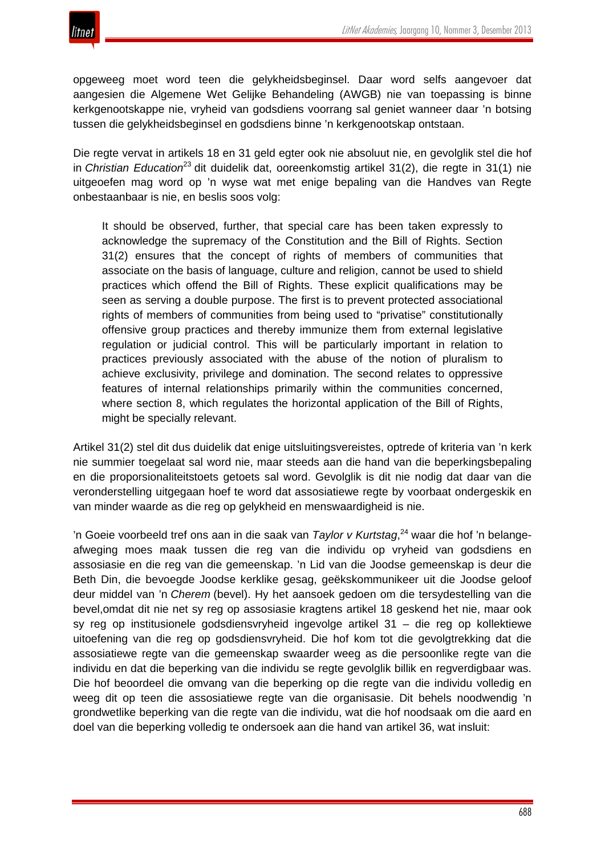

opgeweeg moet word teen die gelykheidsbeginsel. Daar word selfs aangevoer dat aangesien die Algemene Wet Gelijke Behandeling (AWGB) nie van toepassing is binne kerkgenootskappe nie, vryheid van godsdiens voorrang sal geniet wanneer daar 'n botsing tussen die gelykheidsbeginsel en godsdiens binne 'n kerkgenootskap ontstaan.

Die regte vervat in artikels 18 en 31 geld egter ook nie absoluut nie, en gevolglik stel die hof in *Christian Education*<sup>23</sup> dit duidelik dat, ooreenkomstig artikel 31(2), die regte in 31(1) nie uitgeoefen mag word op 'n wyse wat met enige bepaling van die Handves van Regte onbestaanbaar is nie, en beslis soos volg:

It should be observed, further, that special care has been taken expressly to acknowledge the supremacy of the Constitution and the Bill of Rights. Section 31(2) ensures that the concept of rights of members of communities that associate on the basis of language, culture and religion, cannot be used to shield practices which offend the Bill of Rights. These explicit qualifications may be seen as serving a double purpose. The first is to prevent protected associational rights of members of communities from being used to "privatise" constitutionally offensive group practices and thereby immunize them from external legislative regulation or judicial control. This will be particularly important in relation to practices previously associated with the abuse of the notion of pluralism to achieve exclusivity, privilege and domination. The second relates to oppressive features of internal relationships primarily within the communities concerned, where section 8, which regulates the horizontal application of the Bill of Rights, might be specially relevant.

Artikel 31(2) stel dit dus duidelik dat enige uitsluitingsvereistes, optrede of kriteria van 'n kerk nie summier toegelaat sal word nie, maar steeds aan die hand van die beperkingsbepaling en die proporsionaliteitstoets getoets sal word. Gevolglik is dit nie nodig dat daar van die veronderstelling uitgegaan hoef te word dat assosiatiewe regte by voorbaat ondergeskik en van minder waarde as die reg op gelykheid en menswaardigheid is nie.

'n Goeie voorbeeld tref ons aan in die saak van *Taylor v Kurtstag*, <sup>24</sup> waar die hof 'n belangeafweging moes maak tussen die reg van die individu op vryheid van godsdiens en assosiasie en die reg van die gemeenskap. 'n Lid van die Joodse gemeenskap is deur die Beth Din, die bevoegde Joodse kerklike gesag, geëkskommunikeer uit die Joodse geloof deur middel van 'n *Cherem* (bevel). Hy het aansoek gedoen om die tersydestelling van die bevel,omdat dit nie net sy reg op assosiasie kragtens artikel 18 geskend het nie, maar ook sy reg op institusionele godsdiensvryheid ingevolge artikel 31 – die reg op kollektiewe uitoefening van die reg op godsdiensvryheid. Die hof kom tot die gevolgtrekking dat die assosiatiewe regte van die gemeenskap swaarder weeg as die persoonlike regte van die individu en dat die beperking van die individu se regte gevolglik billik en regverdigbaar was. Die hof beoordeel die omvang van die beperking op die regte van die individu volledig en weeg dit op teen die assosiatiewe regte van die organisasie. Dit behels noodwendig 'n grondwetlike beperking van die regte van die individu, wat die hof noodsaak om die aard en doel van die beperking volledig te ondersoek aan die hand van artikel 36, wat insluit: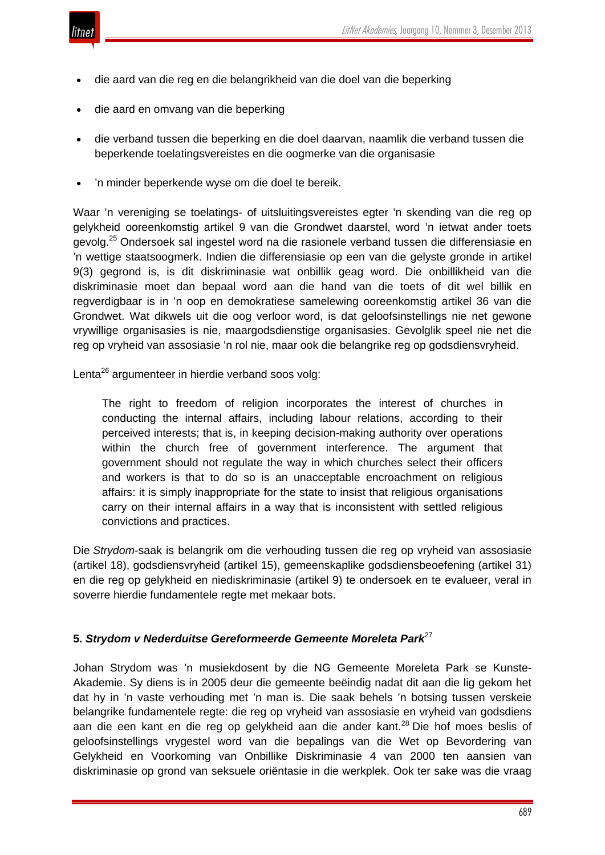

- die aard van die reg en die belangrikheid van die doel van die beperking
- die aard en omvang van die beperking
- die verband tussen die beperking en die doel daarvan, naamlik die verband tussen die beperkende toelatingsvereistes en die oogmerke van die organisasie
- 'n minder beperkende wyse om die doel te bereik.

Waar 'n vereniging se toelatings- of uitsluitingsvereistes egter 'n skending van die reg op gelykheid ooreenkomstig artikel 9 van die Grondwet daarstel, word 'n ietwat ander toets gevolg.<sup>25</sup> Ondersoek sal ingestel word na die rasionele verband tussen die differensiasie en 'n wettige staatsoogmerk. Indien die differensiasie op een van die gelyste gronde in artikel 9(3) gegrond is, is dit diskriminasie wat onbillik geag word. Die onbillikheid van die diskriminasie moet dan bepaal word aan die hand van die toets of dit wel billik en regverdigbaar is in 'n oop en demokratiese samelewing ooreenkomstig artikel 36 van die Grondwet. Wat dikwels uit die oog verloor word, is dat geloofsinstellings nie net gewone vrywillige organisasies is nie, maargodsdienstige organisasies. Gevolglik speel nie net die reg op vryheid van assosiasie 'n rol nie, maar ook die belangrike reg op godsdiensvryheid.

Lenta<sup>26</sup> argumenteer in hierdie verband soos volg:

The right to freedom of religion incorporates the interest of churches in conducting the internal affairs, including labour relations, according to their perceived interests; that is, in keeping decision-making authority over operations within the church free of government interference. The argument that government should not regulate the way in which churches select their officers and workers is that to do so is an unacceptable encroachment on religious affairs: it is simply inappropriate for the state to insist that religious organisations carry on their internal affairs in a way that is inconsistent with settled religious convictions and practices.

Die *Strydom*-saak is belangrik om die verhouding tussen die reg op vryheid van assosiasie (artikel 18), godsdiensvryheid (artikel 15), gemeenskaplike godsdiensbeoefening (artikel 31) en die reg op gelykheid en niediskriminasie (artikel 9) te ondersoek en te evalueer, veral in soverre hierdie fundamentele regte met mekaar bots.

# **5.** *Strydom v Nederduitse Gereformeerde Gemeente Moreleta Park*<sup>27</sup>

Johan Strydom was 'n musiekdosent by die NG Gemeente Moreleta Park se Kunste-Akademie. Sy diens is in 2005 deur die gemeente beëindig nadat dit aan die lig gekom het dat hy in 'n vaste verhouding met 'n man is. Die saak behels 'n botsing tussen verskeie belangrike fundamentele regte: die reg op vryheid van assosiasie en vryheid van godsdiens aan die een kant en die reg op gelykheid aan die ander kant.<sup>28</sup> Die hof moes beslis of geloofsinstellings vrygestel word van die bepalings van die Wet op Bevordering van Gelykheid en Voorkoming van Onbillike Diskriminasie 4 van 2000 ten aansien van diskriminasie op grond van seksuele oriëntasie in die werkplek. Ook ter sake was die vraag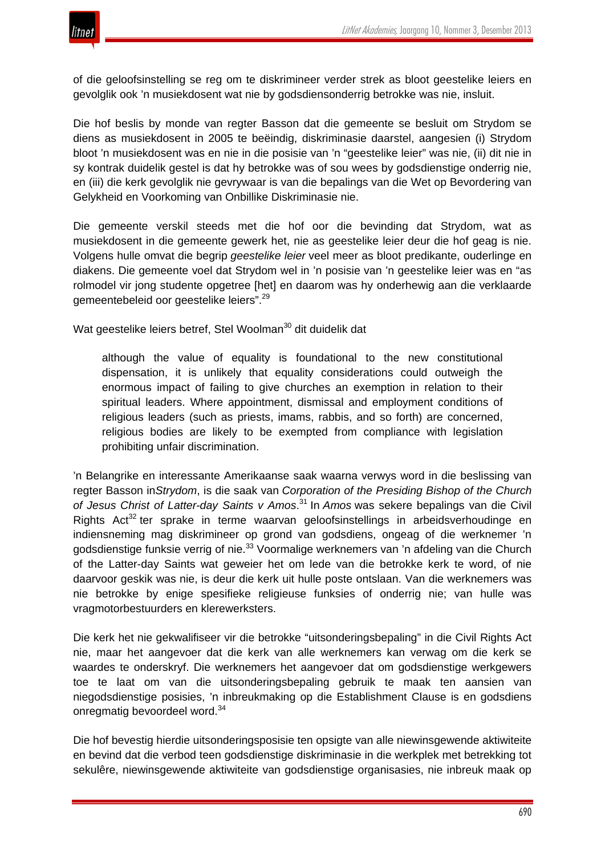

of die geloofsinstelling se reg om te diskrimineer verder strek as bloot geestelike leiers en gevolglik ook 'n musiekdosent wat nie by godsdiensonderrig betrokke was nie, insluit.

Die hof beslis by monde van regter Basson dat die gemeente se besluit om Strydom se diens as musiekdosent in 2005 te beëindig, diskriminasie daarstel, aangesien (i) Strydom bloot 'n musiekdosent was en nie in die posisie van 'n "geestelike leier" was nie, (ii) dit nie in sy kontrak duidelik gestel is dat hy betrokke was of sou wees by godsdienstige onderrig nie, en (iii) die kerk gevolglik nie gevrywaar is van die bepalings van die Wet op Bevordering van Gelykheid en Voorkoming van Onbillike Diskriminasie nie.

Die gemeente verskil steeds met die hof oor die bevinding dat Strydom, wat as musiekdosent in die gemeente gewerk het, nie as geestelike leier deur die hof geag is nie. Volgens hulle omvat die begrip *geestelike leier* veel meer as bloot predikante, ouderlinge en diakens. Die gemeente voel dat Strydom wel in 'n posisie van 'n geestelike leier was en "as rolmodel vir jong studente opgetree [het] en daarom was hy onderhewig aan die verklaarde gemeentebeleid oor geestelike leiers".<sup>29</sup>

Wat geestelike leiers betref, Stel Woolman<sup>30</sup> dit duidelik dat

although the value of equality is foundational to the new constitutional dispensation, it is unlikely that equality considerations could outweigh the enormous impact of failing to give churches an exemption in relation to their spiritual leaders. Where appointment, dismissal and employment conditions of religious leaders (such as priests, imams, rabbis, and so forth) are concerned, religious bodies are likely to be exempted from compliance with legislation prohibiting unfair discrimination.

'n Belangrike en interessante Amerikaanse saak waarna verwys word in die beslissing van regter Basson in*Strydom*, is die saak van *Corporation of the Presiding Bishop of the Church of Jesus Christ of Latter-day Saints v Amos*. <sup>31</sup> In *Amos* was sekere bepalings van die Civil Rights  $Act^{32}$  ter sprake in terme waarvan geloofsinstellings in arbeidsverhoudinge en indiensneming mag diskrimineer op grond van godsdiens, ongeag of die werknemer 'n godsdienstige funksie verrig of nie.<sup>33</sup> Voormalige werknemers van 'n afdeling van die Church of the Latter-day Saints wat geweier het om lede van die betrokke kerk te word, of nie daarvoor geskik was nie, is deur die kerk uit hulle poste ontslaan. Van die werknemers was nie betrokke by enige spesifieke religieuse funksies of onderrig nie; van hulle was vragmotorbestuurders en klerewerksters.

Die kerk het nie gekwalifiseer vir die betrokke "uitsonderingsbepaling" in die Civil Rights Act nie, maar het aangevoer dat die kerk van alle werknemers kan verwag om die kerk se waardes te onderskryf. Die werknemers het aangevoer dat om godsdienstige werkgewers toe te laat om van die uitsonderingsbepaling gebruik te maak ten aansien van niegodsdienstige posisies, 'n inbreukmaking op die Establishment Clause is en godsdiens onregmatig bevoordeel word.<sup>34</sup>

Die hof bevestig hierdie uitsonderingsposisie ten opsigte van alle niewinsgewende aktiwiteite en bevind dat die verbod teen godsdienstige diskriminasie in die werkplek met betrekking tot sekulêre, niewinsgewende aktiwiteite van godsdienstige organisasies, nie inbreuk maak op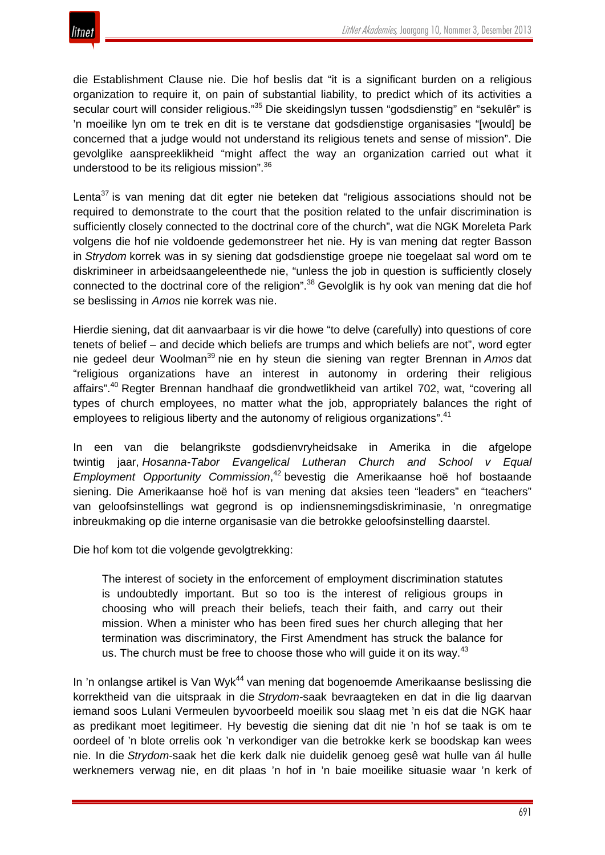

die Establishment Clause nie. Die hof beslis dat "it is a significant burden on a religious organization to require it, on pain of substantial liability, to predict which of its activities a secular court will consider religious."<sup>35</sup> Die skeidingslyn tussen "godsdienstig" en "sekulêr" is 'n moeilike lyn om te trek en dit is te verstane dat godsdienstige organisasies "[would] be concerned that a judge would not understand its religious tenets and sense of mission". Die gevolglike aanspreeklikheid "might affect the way an organization carried out what it understood to be its religious mission".<sup>36</sup>

Lenta<sup>37</sup> is van mening dat dit egter nie beteken dat "religious associations should not be required to demonstrate to the court that the position related to the unfair discrimination is sufficiently closely connected to the doctrinal core of the church", wat die NGK Moreleta Park volgens die hof nie voldoende gedemonstreer het nie. Hy is van mening dat regter Basson in *Strydom* korrek was in sy siening dat godsdienstige groepe nie toegelaat sal word om te diskrimineer in arbeidsaangeleenthede nie, "unless the job in question is sufficiently closely connected to the doctrinal core of the religion".<sup>38</sup> Gevolglik is hy ook van mening dat die hof se beslissing in *Amos* nie korrek was nie.

Hierdie siening, dat dit aanvaarbaar is vir die howe "to delve (carefully) into questions of core tenets of belief – and decide which beliefs are trumps and which beliefs are not", word egter nie gedeel deur Woolman<sup>39</sup> nie en hy steun die siening van regter Brennan in *Amos* dat "religious organizations have an interest in autonomy in ordering their religious affairs".<sup>40</sup> Regter Brennan handhaaf die grondwetlikheid van artikel 702, wat, "covering all types of church employees, no matter what the job, appropriately balances the right of employees to religious liberty and the autonomy of religious organizations".<sup>41</sup>

In een van die belangrikste godsdienvryheidsake in Amerika in die afgelope twintig jaar, *Hosanna-Tabor Evangelical Lutheran Church and School v Equal Employment Opportunity Commission*, <sup>42</sup> bevestig die Amerikaanse hoë hof bostaande siening. Die Amerikaanse hoë hof is van mening dat aksies teen "leaders" en "teachers" van geloofsinstellings wat gegrond is op indiensnemingsdiskriminasie, 'n onregmatige inbreukmaking op die interne organisasie van die betrokke geloofsinstelling daarstel.

Die hof kom tot die volgende gevolgtrekking:

The interest of society in the enforcement of employment discrimination statutes is undoubtedly important. But so too is the interest of religious groups in choosing who will preach their beliefs, teach their faith, and carry out their mission. When a minister who has been fired sues her church alleging that her termination was discriminatory, the First Amendment has struck the balance for us. The church must be free to choose those who will guide it on its way.<sup>43</sup>

In 'n onlangse artikel is Van Wyk<sup>44</sup> van mening dat bogenoemde Amerikaanse beslissing die korrektheid van die uitspraak in die *Strydom-*saak bevraagteken en dat in die lig daarvan iemand soos Lulani Vermeulen byvoorbeeld moeilik sou slaag met 'n eis dat die NGK haar as predikant moet legitimeer. Hy bevestig die siening dat dit nie 'n hof se taak is om te oordeel of 'n blote orrelis ook 'n verkondiger van die betrokke kerk se boodskap kan wees nie. In die *Strydom-*saak het die kerk dalk nie duidelik genoeg gesê wat hulle van ál hulle werknemers verwag nie, en dit plaas 'n hof in 'n baie moeilike situasie waar 'n kerk of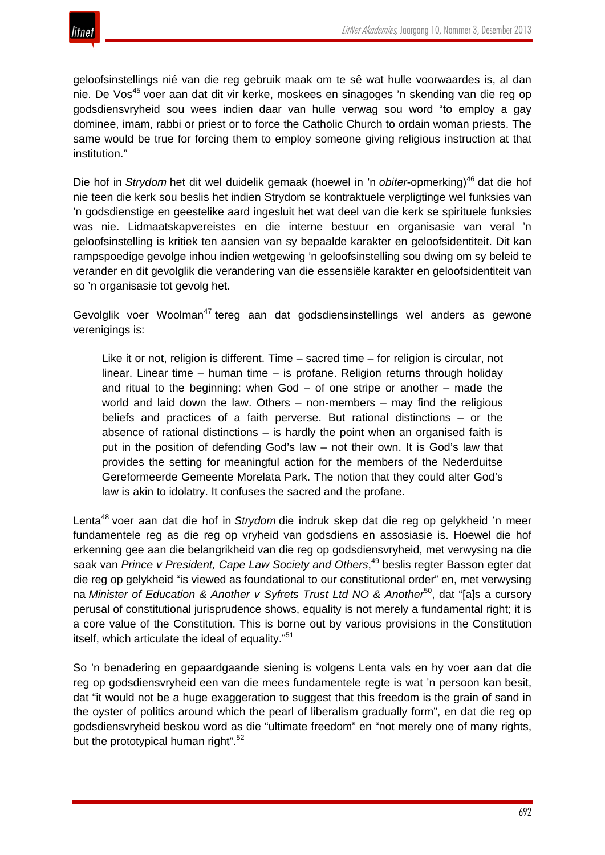

geloofsinstellings nié van die reg gebruik maak om te sê wat hulle voorwaardes is, al dan nie. De Vos<sup>45</sup> voer aan dat dit vir kerke, moskees en sinagoges 'n skending van die reg op godsdiensvryheid sou wees indien daar van hulle verwag sou word "to employ a gay dominee, imam, rabbi or priest or to force the Catholic Church to ordain woman priests. The same would be true for forcing them to employ someone giving religious instruction at that institution."

Die hof in *Strydom* het dit wel duidelik gemaak (hoewel in 'n *obiter*-opmerking)<sup>46</sup> dat die hof nie teen die kerk sou beslis het indien Strydom se kontraktuele verpligtinge wel funksies van 'n godsdienstige en geestelike aard ingesluit het wat deel van die kerk se spirituele funksies was nie. Lidmaatskapvereistes en die interne bestuur en organisasie van veral 'n geloofsinstelling is kritiek ten aansien van sy bepaalde karakter en geloofsidentiteit. Dit kan rampspoedige gevolge inhou indien wetgewing 'n geloofsinstelling sou dwing om sy beleid te verander en dit gevolglik die verandering van die essensiële karakter en geloofsidentiteit van so 'n organisasie tot gevolg het.

Gevolglik voer Woolman<sup>47</sup> tereg aan dat godsdiensinstellings wel anders as gewone verenigings is:

Like it or not, religion is different. Time – sacred time – for religion is circular, not linear. Linear time – human time – is profane. Religion returns through holiday and ritual to the beginning: when  $God - of$  one stripe or another  $-$  made the world and laid down the law. Others – non-members – may find the religious beliefs and practices of a faith perverse. But rational distinctions – or the absence of rational distinctions  $-$  is hardly the point when an organised faith is put in the position of defending God's law – not their own. It is God's law that provides the setting for meaningful action for the members of the Nederduitse Gereformeerde Gemeente Morelata Park. The notion that they could alter God's law is akin to idolatry. It confuses the sacred and the profane.

Lenta<sup>48</sup> voer aan dat die hof in *Strydom* die indruk skep dat die reg op gelykheid 'n meer fundamentele reg as die reg op vryheid van godsdiens en assosiasie is. Hoewel die hof erkenning gee aan die belangrikheid van die reg op godsdiensvryheid, met verwysing na die saak van *Prince v President, Cape Law Society and Others*, <sup>49</sup> beslis regter Basson egter dat die reg op gelykheid "is viewed as foundational to our constitutional order" en, met verwysing na *Minister of Education & Another v Syfrets Trust Ltd NO & Another*50, dat "[a]s a cursory perusal of constitutional jurisprudence shows, equality is not merely a fundamental right; it is a core value of the Constitution. This is borne out by various provisions in the Constitution itself, which articulate the ideal of equality."<sup>51</sup>

So 'n benadering en gepaardgaande siening is volgens Lenta vals en hy voer aan dat die reg op godsdiensvryheid een van die mees fundamentele regte is wat 'n persoon kan besit, dat "it would not be a huge exaggeration to suggest that this freedom is the grain of sand in the oyster of politics around which the pearl of liberalism gradually form", en dat die reg op godsdiensvryheid beskou word as die "ultimate freedom" en "not merely one of many rights, but the prototypical human right".<sup>52</sup>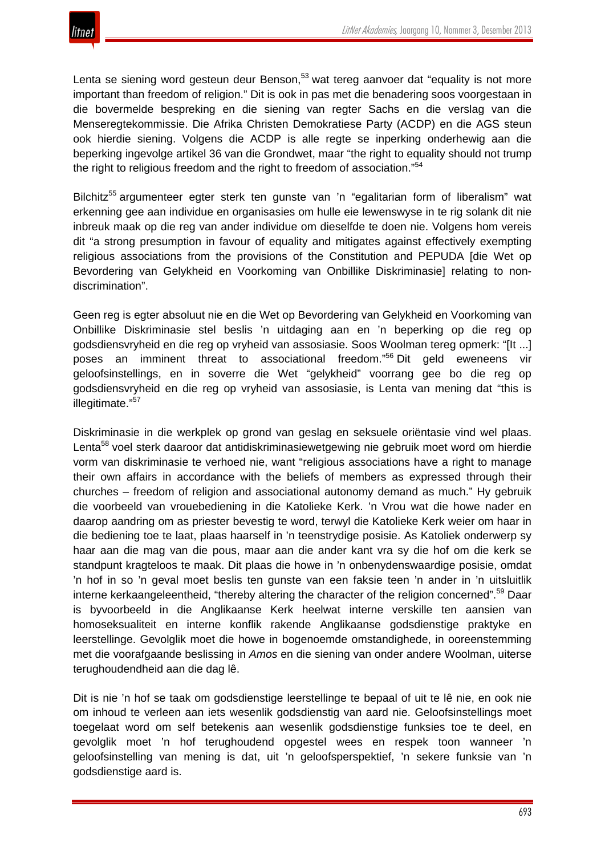

Lenta se siening word gesteun deur Benson, $53$  wat tereg aanvoer dat "equality is not more important than freedom of religion." Dit is ook in pas met die benadering soos voorgestaan in die bovermelde bespreking en die siening van regter Sachs en die verslag van die Menseregtekommissie. Die Afrika Christen Demokratiese Party (ACDP) en die AGS steun ook hierdie siening. Volgens die ACDP is alle regte se inperking onderhewig aan die beperking ingevolge artikel 36 van die Grondwet, maar "the right to equality should not trump the right to religious freedom and the right to freedom of association."<sup>54</sup>

Bilchitz<sup>55</sup> argumenteer egter sterk ten gunste van 'n "egalitarian form of liberalism" wat erkenning gee aan individue en organisasies om hulle eie lewenswyse in te rig solank dit nie inbreuk maak op die reg van ander individue om dieselfde te doen nie. Volgens hom vereis dit "a strong presumption in favour of equality and mitigates against effectively exempting religious associations from the provisions of the Constitution and PEPUDA [die Wet op Bevordering van Gelykheid en Voorkoming van Onbillike Diskriminasie] relating to nondiscrimination".

Geen reg is egter absoluut nie en die Wet op Bevordering van Gelykheid en Voorkoming van Onbillike Diskriminasie stel beslis 'n uitdaging aan en 'n beperking op die reg op godsdiensvryheid en die reg op vryheid van assosiasie. Soos Woolman tereg opmerk: "[It ...] poses an imminent threat to associational freedom."<sup>56</sup> Dit geld eweneens vir geloofsinstellings, en in soverre die Wet "gelykheid" voorrang gee bo die reg op godsdiensvryheid en die reg op vryheid van assosiasie, is Lenta van mening dat "this is illegitimate."<sup>57</sup>

Diskriminasie in die werkplek op grond van geslag en seksuele oriëntasie vind wel plaas. Lenta<sup>58</sup> voel sterk daaroor dat antidiskriminasiewetgewing nie gebruik moet word om hierdie vorm van diskriminasie te verhoed nie, want "religious associations have a right to manage their own affairs in accordance with the beliefs of members as expressed through their churches – freedom of religion and associational autonomy demand as much." Hy gebruik die voorbeeld van vrouebediening in die Katolieke Kerk. 'n Vrou wat die howe nader en daarop aandring om as priester bevestig te word, terwyl die Katolieke Kerk weier om haar in die bediening toe te laat, plaas haarself in 'n teenstrydige posisie. As Katoliek onderwerp sy haar aan die mag van die pous, maar aan die ander kant vra sy die hof om die kerk se standpunt kragteloos te maak. Dit plaas die howe in 'n onbenydenswaardige posisie, omdat 'n hof in so 'n geval moet beslis ten gunste van een faksie teen 'n ander in 'n uitsluitlik interne kerkaangeleentheid, "thereby altering the character of the religion concerned".<sup>59</sup> Daar is byvoorbeeld in die Anglikaanse Kerk heelwat interne verskille ten aansien van homoseksualiteit en interne konflik rakende Anglikaanse godsdienstige praktyke en leerstellinge. Gevolglik moet die howe in bogenoemde omstandighede, in ooreenstemming met die voorafgaande beslissing in *Amos* en die siening van onder andere Woolman, uiterse terughoudendheid aan die dag lê.

Dit is nie 'n hof se taak om godsdienstige leerstellinge te bepaal of uit te lê nie, en ook nie om inhoud te verleen aan iets wesenlik godsdienstig van aard nie. Geloofsinstellings moet toegelaat word om self betekenis aan wesenlik godsdienstige funksies toe te deel, en gevolglik moet 'n hof terughoudend opgestel wees en respek toon wanneer 'n geloofsinstelling van mening is dat, uit 'n geloofsperspektief, 'n sekere funksie van 'n godsdienstige aard is.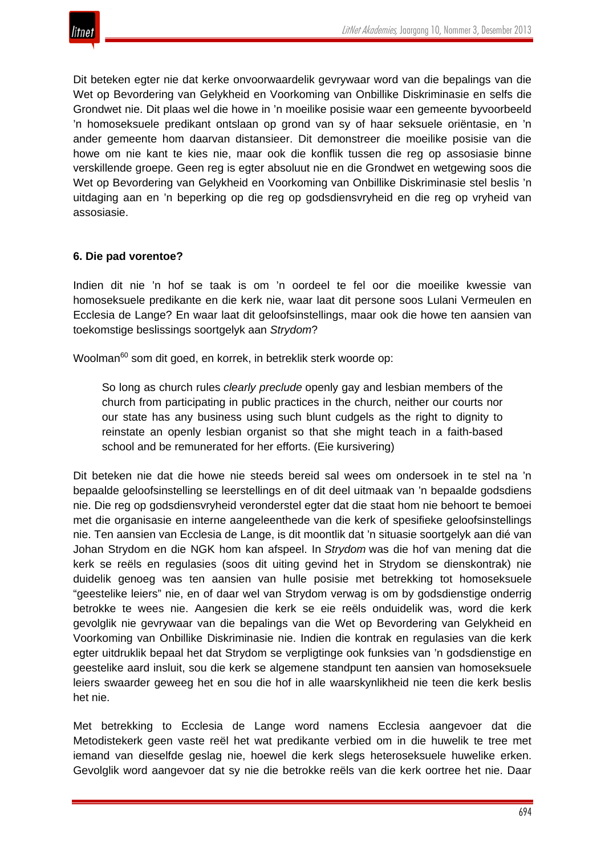Dit beteken egter nie dat kerke onvoorwaardelik gevrywaar word van die bepalings van die Wet op Bevordering van Gelykheid en Voorkoming van Onbillike Diskriminasie en selfs die Grondwet nie. Dit plaas wel die howe in 'n moeilike posisie waar een gemeente byvoorbeeld 'n homoseksuele predikant ontslaan op grond van sy of haar seksuele oriëntasie, en 'n ander gemeente hom daarvan distansieer. Dit demonstreer die moeilike posisie van die howe om nie kant te kies nie, maar ook die konflik tussen die reg op assosiasie binne verskillende groepe. Geen reg is egter absoluut nie en die Grondwet en wetgewing soos die Wet op Bevordering van Gelykheid en Voorkoming van Onbillike Diskriminasie stel beslis 'n uitdaging aan en 'n beperking op die reg op godsdiensvryheid en die reg op vryheid van assosiasie.

#### **6. Die pad vorentoe?**

Indien dit nie 'n hof se taak is om 'n oordeel te fel oor die moeilike kwessie van homoseksuele predikante en die kerk nie, waar laat dit persone soos Lulani Vermeulen en Ecclesia de Lange? En waar laat dit geloofsinstellings, maar ook die howe ten aansien van toekomstige beslissings soortgelyk aan *Strydom*?

Woolman<sup>60</sup> som dit goed, en korrek, in betreklik sterk woorde op:

So long as church rules *clearly preclude* openly gay and lesbian members of the church from participating in public practices in the church, neither our courts nor our state has any business using such blunt cudgels as the right to dignity to reinstate an openly lesbian organist so that she might teach in a faith-based school and be remunerated for her efforts. (Eie kursivering)

Dit beteken nie dat die howe nie steeds bereid sal wees om ondersoek in te stel na 'n bepaalde geloofsinstelling se leerstellings en of dit deel uitmaak van 'n bepaalde godsdiens nie. Die reg op godsdiensvryheid veronderstel egter dat die staat hom nie behoort te bemoei met die organisasie en interne aangeleenthede van die kerk of spesifieke geloofsinstellings nie. Ten aansien van Ecclesia de Lange, is dit moontlik dat 'n situasie soortgelyk aan dié van Johan Strydom en die NGK hom kan afspeel. In *Strydom* was die hof van mening dat die kerk se reëls en regulasies (soos dit uiting gevind het in Strydom se dienskontrak) nie duidelik genoeg was ten aansien van hulle posisie met betrekking tot homoseksuele "geestelike leiers" nie, en of daar wel van Strydom verwag is om by godsdienstige onderrig betrokke te wees nie. Aangesien die kerk se eie reëls onduidelik was, word die kerk gevolglik nie gevrywaar van die bepalings van die Wet op Bevordering van Gelykheid en Voorkoming van Onbillike Diskriminasie nie. Indien die kontrak en regulasies van die kerk egter uitdruklik bepaal het dat Strydom se verpligtinge ook funksies van 'n godsdienstige en geestelike aard insluit, sou die kerk se algemene standpunt ten aansien van homoseksuele leiers swaarder geweeg het en sou die hof in alle waarskynlikheid nie teen die kerk beslis het nie.

Met betrekking to Ecclesia de Lange word namens Ecclesia aangevoer dat die Metodistekerk geen vaste reël het wat predikante verbied om in die huwelik te tree met iemand van dieselfde geslag nie, hoewel die kerk slegs heteroseksuele huwelike erken. Gevolglik word aangevoer dat sy nie die betrokke reëls van die kerk oortree het nie. Daar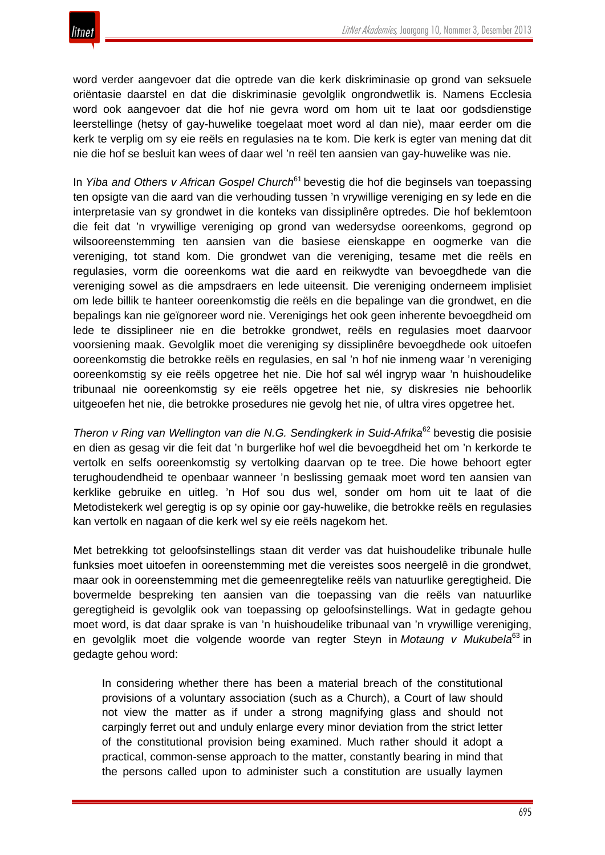word verder aangevoer dat die optrede van die kerk diskriminasie op grond van seksuele oriëntasie daarstel en dat die diskriminasie gevolglik ongrondwetlik is. Namens Ecclesia word ook aangevoer dat die hof nie gevra word om hom uit te laat oor godsdienstige leerstellinge (hetsy of gay-huwelike toegelaat moet word al dan nie), maar eerder om die kerk te verplig om sy eie reëls en regulasies na te kom. Die kerk is egter van mening dat dit nie die hof se besluit kan wees of daar wel 'n reël ten aansien van gay-huwelike was nie.

In *Yiba and Others v African Gospel Church*<sup>61</sup> bevestig die hof die beginsels van toepassing ten opsigte van die aard van die verhouding tussen 'n vrywillige vereniging en sy lede en die interpretasie van sy grondwet in die konteks van dissiplinêre optredes. Die hof beklemtoon die feit dat 'n vrywillige vereniging op grond van wedersydse ooreenkoms, gegrond op wilsooreenstemming ten aansien van die basiese eienskappe en oogmerke van die vereniging, tot stand kom. Die grondwet van die vereniging, tesame met die reëls en regulasies, vorm die ooreenkoms wat die aard en reikwydte van bevoegdhede van die vereniging sowel as die ampsdraers en lede uiteensit. Die vereniging onderneem implisiet om lede billik te hanteer ooreenkomstig die reëls en die bepalinge van die grondwet, en die bepalings kan nie geïgnoreer word nie. Verenigings het ook geen inherente bevoegdheid om lede te dissiplineer nie en die betrokke grondwet, reëls en regulasies moet daarvoor voorsiening maak. Gevolglik moet die vereniging sy dissiplinêre bevoegdhede ook uitoefen ooreenkomstig die betrokke reëls en regulasies, en sal 'n hof nie inmeng waar 'n vereniging ooreenkomstig sy eie reëls opgetree het nie. Die hof sal wél ingryp waar 'n huishoudelike tribunaal nie ooreenkomstig sy eie reëls opgetree het nie, sy diskresies nie behoorlik uitgeoefen het nie, die betrokke prosedures nie gevolg het nie, of ultra vires opgetree het.

*Theron v Ring van Wellington van die N.G. Sendingkerk in Suid-Afrika*<sup>62</sup> bevestig die posisie en dien as gesag vir die feit dat 'n burgerlike hof wel die bevoegdheid het om 'n kerkorde te vertolk en selfs ooreenkomstig sy vertolking daarvan op te tree. Die howe behoort egter terughoudendheid te openbaar wanneer 'n beslissing gemaak moet word ten aansien van kerklike gebruike en uitleg. 'n Hof sou dus wel, sonder om hom uit te laat of die Metodistekerk wel geregtig is op sy opinie oor gay-huwelike, die betrokke reëls en regulasies kan vertolk en nagaan of die kerk wel sy eie reëls nagekom het.

Met betrekking tot geloofsinstellings staan dit verder vas dat huishoudelike tribunale hulle funksies moet uitoefen in ooreenstemming met die vereistes soos neergelê in die grondwet, maar ook in ooreenstemming met die gemeenregtelike reëls van natuurlike geregtigheid. Die bovermelde bespreking ten aansien van die toepassing van die reëls van natuurlike geregtigheid is gevolglik ook van toepassing op geloofsinstellings. Wat in gedagte gehou moet word, is dat daar sprake is van 'n huishoudelike tribunaal van 'n vrywillige vereniging, en gevolglik moet die volgende woorde van regter Steyn in *Motaung v Mukubela*<sup>63</sup> in gedagte gehou word:

In considering whether there has been a material breach of the constitutional provisions of a voluntary association (such as a Church), a Court of law should not view the matter as if under a strong magnifying glass and should not carpingly ferret out and unduly enlarge every minor deviation from the strict letter of the constitutional provision being examined. Much rather should it adopt a practical, common-sense approach to the matter, constantly bearing in mind that the persons called upon to administer such a constitution are usually laymen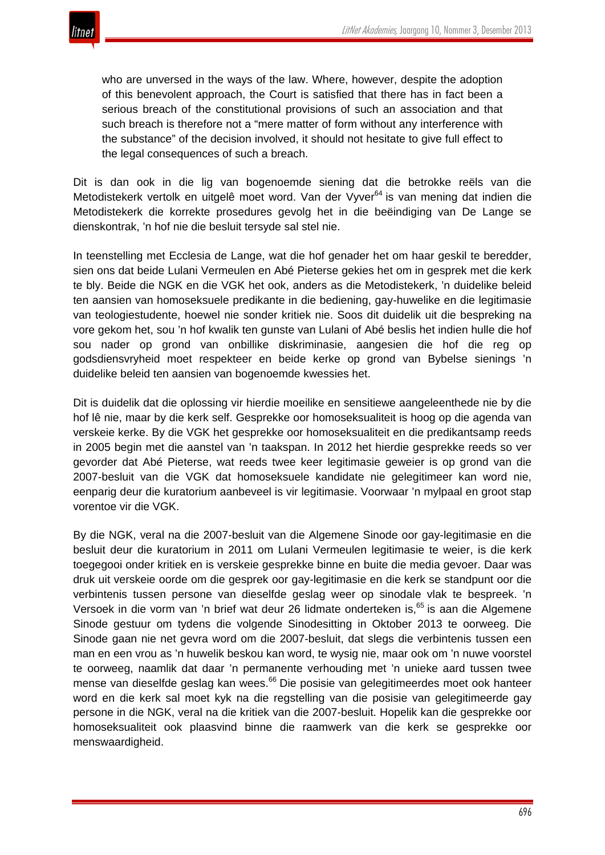

who are unversed in the ways of the law. Where, however, despite the adoption of this benevolent approach, the Court is satisfied that there has in fact been a serious breach of the constitutional provisions of such an association and that such breach is therefore not a "mere matter of form without any interference with the substance" of the decision involved, it should not hesitate to give full effect to the legal consequences of such a breach.

Dit is dan ook in die lig van bogenoemde siening dat die betrokke reëls van die Metodistekerk vertolk en uitgelê moet word. Van der Vyver<sup>64</sup> is van mening dat indien die Metodistekerk die korrekte prosedures gevolg het in die beëindiging van De Lange se dienskontrak, 'n hof nie die besluit tersyde sal stel nie.

In teenstelling met Ecclesia de Lange, wat die hof genader het om haar geskil te beredder, sien ons dat beide Lulani Vermeulen en Abé Pieterse gekies het om in gesprek met die kerk te bly. Beide die NGK en die VGK het ook, anders as die Metodistekerk, 'n duidelike beleid ten aansien van homoseksuele predikante in die bediening, gay-huwelike en die legitimasie van teologiestudente, hoewel nie sonder kritiek nie. Soos dit duidelik uit die bespreking na vore gekom het, sou 'n hof kwalik ten gunste van Lulani of Abé beslis het indien hulle die hof sou nader op grond van onbillike diskriminasie, aangesien die hof die reg op godsdiensvryheid moet respekteer en beide kerke op grond van Bybelse sienings 'n duidelike beleid ten aansien van bogenoemde kwessies het.

Dit is duidelik dat die oplossing vir hierdie moeilike en sensitiewe aangeleenthede nie by die hof lê nie, maar by die kerk self. Gesprekke oor homoseksualiteit is hoog op die agenda van verskeie kerke. By die VGK het gesprekke oor homoseksualiteit en die predikantsamp reeds in 2005 begin met die aanstel van 'n taakspan. In 2012 het hierdie gesprekke reeds so ver gevorder dat Abé Pieterse, wat reeds twee keer legitimasie geweier is op grond van die 2007-besluit van die VGK dat homoseksuele kandidate nie gelegitimeer kan word nie, eenparig deur die kuratorium aanbeveel is vir legitimasie. Voorwaar 'n mylpaal en groot stap vorentoe vir die VGK.

By die NGK, veral na die 2007-besluit van die Algemene Sinode oor gay-legitimasie en die besluit deur die kuratorium in 2011 om Lulani Vermeulen legitimasie te weier, is die kerk toegegooi onder kritiek en is verskeie gesprekke binne en buite die media gevoer. Daar was druk uit verskeie oorde om die gesprek oor gay-legitimasie en die kerk se standpunt oor die verbintenis tussen persone van dieselfde geslag weer op sinodale vlak te bespreek. 'n Versoek in die vorm van 'n brief wat deur 26 lidmate onderteken is,<sup>65</sup> is aan die Algemene Sinode gestuur om tydens die volgende Sinodesitting in Oktober 2013 te oorweeg. Die Sinode gaan nie net gevra word om die 2007-besluit, dat slegs die verbintenis tussen een man en een vrou as 'n huwelik beskou kan word, te wysig nie, maar ook om 'n nuwe voorstel te oorweeg, naamlik dat daar 'n permanente verhouding met 'n unieke aard tussen twee mense van dieselfde geslag kan wees.<sup>66</sup> Die posisie van gelegitimeerdes moet ook hanteer word en die kerk sal moet kyk na die regstelling van die posisie van gelegitimeerde gay persone in die NGK, veral na die kritiek van die 2007-besluit. Hopelik kan die gesprekke oor homoseksualiteit ook plaasvind binne die raamwerk van die kerk se gesprekke oor menswaardigheid.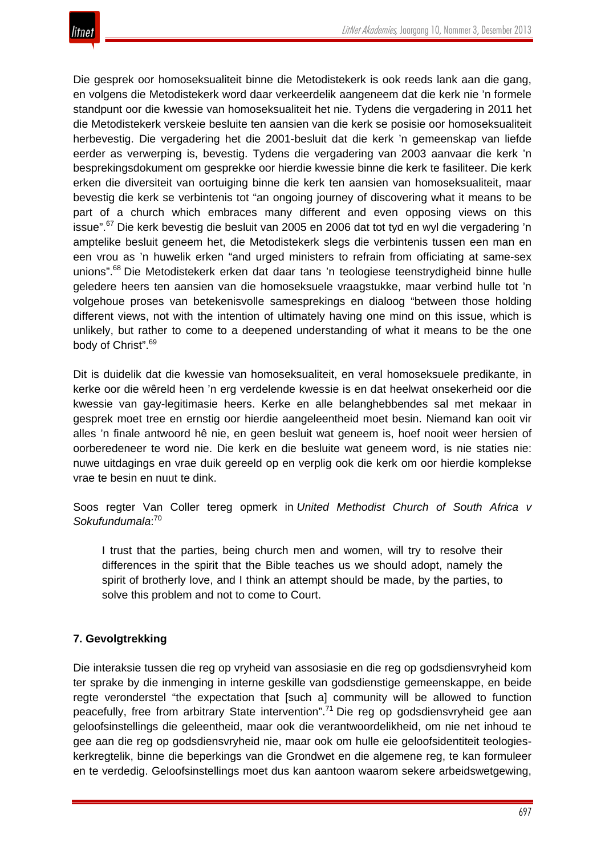

Die gesprek oor homoseksualiteit binne die Metodistekerk is ook reeds lank aan die gang, en volgens die Metodistekerk word daar verkeerdelik aangeneem dat die kerk nie 'n formele standpunt oor die kwessie van homoseksualiteit het nie. Tydens die vergadering in 2011 het die Metodistekerk verskeie besluite ten aansien van die kerk se posisie oor homoseksualiteit herbevestig. Die vergadering het die 2001-besluit dat die kerk 'n gemeenskap van liefde eerder as verwerping is, bevestig. Tydens die vergadering van 2003 aanvaar die kerk 'n besprekingsdokument om gesprekke oor hierdie kwessie binne die kerk te fasiliteer. Die kerk erken die diversiteit van oortuiging binne die kerk ten aansien van homoseksualiteit, maar bevestig die kerk se verbintenis tot "an ongoing journey of discovering what it means to be part of a church which embraces many different and even opposing views on this issue".<sup>67</sup> Die kerk bevestig die besluit van 2005 en 2006 dat tot tyd en wyl die vergadering 'n amptelike besluit geneem het, die Metodistekerk slegs die verbintenis tussen een man en een vrou as 'n huwelik erken "and urged ministers to refrain from officiating at same-sex unions".<sup>68</sup> Die Metodistekerk erken dat daar tans 'n teologiese teenstrydigheid binne hulle geledere heers ten aansien van die homoseksuele vraagstukke, maar verbind hulle tot 'n volgehoue proses van betekenisvolle samesprekings en dialoog "between those holding different views, not with the intention of ultimately having one mind on this issue, which is unlikely, but rather to come to a deepened understanding of what it means to be the one body of Christ".<sup>69</sup>

Dit is duidelik dat die kwessie van homoseksualiteit, en veral homoseksuele predikante, in kerke oor die wêreld heen 'n erg verdelende kwessie is en dat heelwat onsekerheid oor die kwessie van gay-legitimasie heers. Kerke en alle belanghebbendes sal met mekaar in gesprek moet tree en ernstig oor hierdie aangeleentheid moet besin. Niemand kan ooit vir alles 'n finale antwoord hê nie, en geen besluit wat geneem is, hoef nooit weer hersien of oorberedeneer te word nie. Die kerk en die besluite wat geneem word, is nie staties nie: nuwe uitdagings en vrae duik gereeld op en verplig ook die kerk om oor hierdie komplekse vrae te besin en nuut te dink.

Soos regter Van Coller tereg opmerk in *United Methodist Church of South Africa v Sokufundumala*: 70

I trust that the parties, being church men and women, will try to resolve their differences in the spirit that the Bible teaches us we should adopt, namely the spirit of brotherly love, and I think an attempt should be made, by the parties, to solve this problem and not to come to Court.

# **7. Gevolgtrekking**

Die interaksie tussen die reg op vryheid van assosiasie en die reg op godsdiensvryheid kom ter sprake by die inmenging in interne geskille van godsdienstige gemeenskappe, en beide regte veronderstel "the expectation that [such a] community will be allowed to function peacefully, free from arbitrary State intervention".<sup>71</sup> Die reg op godsdiensvryheid gee aan geloofsinstellings die geleentheid, maar ook die verantwoordelikheid, om nie net inhoud te gee aan die reg op godsdiensvryheid nie, maar ook om hulle eie geloofsidentiteit teologieskerkregtelik, binne die beperkings van die Grondwet en die algemene reg, te kan formuleer en te verdedig. Geloofsinstellings moet dus kan aantoon waarom sekere arbeidswetgewing,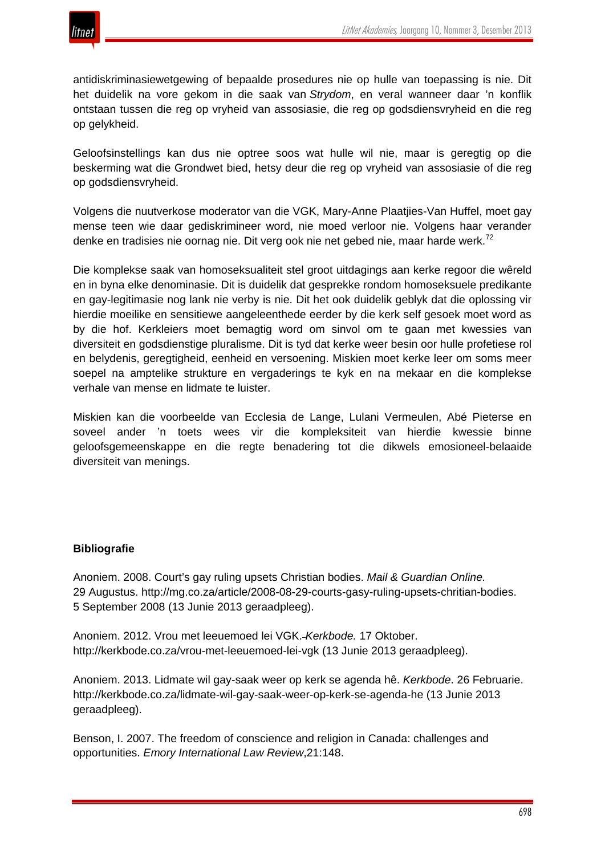

antidiskriminasiewetgewing of bepaalde prosedures nie op hulle van toepassing is nie. Dit het duidelik na vore gekom in die saak van *Strydom*, en veral wanneer daar 'n konflik ontstaan tussen die reg op vryheid van assosiasie, die reg op godsdiensvryheid en die reg op gelykheid.

Geloofsinstellings kan dus nie optree soos wat hulle wil nie, maar is geregtig op die beskerming wat die Grondwet bied, hetsy deur die reg op vryheid van assosiasie of die reg op godsdiensvryheid.

Volgens die nuutverkose moderator van die VGK, Mary-Anne Plaatjies-Van Huffel, moet gay mense teen wie daar gediskrimineer word, nie moed verloor nie. Volgens haar verander denke en tradisies nie oornag nie. Dit verg ook nie net gebed nie, maar harde werk.<sup>72</sup>

Die komplekse saak van homoseksualiteit stel groot uitdagings aan kerke regoor die wêreld en in byna elke denominasie. Dit is duidelik dat gesprekke rondom homoseksuele predikante en gay-legitimasie nog lank nie verby is nie. Dit het ook duidelik geblyk dat die oplossing vir hierdie moeilike en sensitiewe aangeleenthede eerder by die kerk self gesoek moet word as by die hof. Kerkleiers moet bemagtig word om sinvol om te gaan met kwessies van diversiteit en godsdienstige pluralisme. Dit is tyd dat kerke weer besin oor hulle profetiese rol en belydenis, geregtigheid, eenheid en versoening. Miskien moet kerke leer om soms meer soepel na amptelike strukture en vergaderings te kyk en na mekaar en die komplekse verhale van mense en lidmate te luister.

Miskien kan die voorbeelde van Ecclesia de Lange, Lulani Vermeulen, Abé Pieterse en soveel ander 'n toets wees vir die kompleksiteit van hierdie kwessie binne geloofsgemeenskappe en die regte benadering tot die dikwels emosioneel-belaaide diversiteit van menings.

#### **Bibliografie**

Anoniem. 2008. Court's gay ruling upsets Christian bodies. *Mail & Guardian Online.* 29 Augustus. http://mg.co.za/article/2008-08-29-courts-gasy-ruling-upsets-chritian-bodies. 5 September 2008 (13 Junie 2013 geraadpleeg).

Anoniem. 2012. Vrou met leeuemoed lei VGK. *Kerkbode.* 17 Oktober. http://kerkbode.co.za/vrou-met-leeuemoed-lei-vgk (13 Junie 2013 geraadpleeg).

Anoniem. 2013. Lidmate wil gay-saak weer op kerk se agenda hê. *Kerkbode*. 26 Februarie. http://kerkbode.co.za/lidmate-wil-gay-saak-weer-op-kerk-se-agenda-he (13 Junie 2013 geraadpleeg).

Benson, I. 2007. The freedom of conscience and religion in Canada: challenges and opportunities. *Emory International Law Review*,21:148.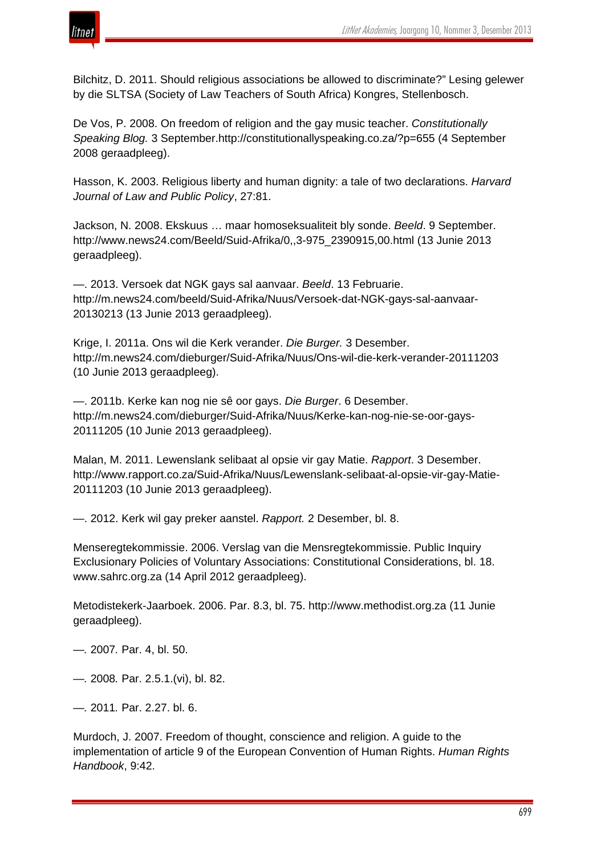

Bilchitz, D. 2011. Should religious associations be allowed to discriminate?" Lesing gelewer by die SLTSA (Society of Law Teachers of South Africa) Kongres, Stellenbosch.

De Vos, P. 2008. On freedom of religion and the gay music teacher. *Constitutionally Speaking Blog.* 3 September.http://constitutionallyspeaking.co.za/?p=655 (4 September 2008 geraadpleeg).

Hasson, K. 2003. Religious liberty and human dignity: a tale of two declarations. *Harvard Journal of Law and Public Policy*, 27:81.

Jackson, N. 2008. Ekskuus … maar homoseksualiteit bly sonde. *Beeld*. 9 September. http://www.news24.com/Beeld/Suid-Afrika/0,,3-975\_2390915,00.html (13 Junie 2013 geraadpleeg).

—. 2013. Versoek dat NGK gays sal aanvaar. *Beeld*. 13 Februarie. http://m.news24.com/beeld/Suid-Afrika/Nuus/Versoek-dat-NGK-gays-sal-aanvaar-20130213 (13 Junie 2013 geraadpleeg).

Krige, I. 2011a. Ons wil die Kerk verander. *Die Burger.* 3 Desember. http://m.news24.com/dieburger/Suid-Afrika/Nuus/Ons-wil-die-kerk-verander-20111203 (10 Junie 2013 geraadpleeg).

—. 2011b. Kerke kan nog nie sê oor gays. *Die Burger*. 6 Desember. http://m.news24.com/dieburger/Suid-Afrika/Nuus/Kerke-kan-nog-nie-se-oor-gays-20111205 (10 Junie 2013 geraadpleeg).

Malan, M. 2011. Lewenslank selibaat al opsie vir gay Matie. *Rapport*. 3 Desember. http://www.rapport.co.za/Suid-Afrika/Nuus/Lewenslank-selibaat-al-opsie-vir-gay-Matie-20111203 (10 Junie 2013 geraadpleeg).

—. 2012. Kerk wil gay preker aanstel. *Rapport.* 2 Desember, bl. 8.

Menseregtekommissie. 2006. Verslag van die Mensregtekommissie. Public Inquiry Exclusionary Policies of Voluntary Associations: Constitutional Considerations, bl. 18. www.sahrc.org.za (14 April 2012 geraadpleeg).

Metodistekerk-Jaarboek. 2006. Par. 8.3, bl. 75. http://www.methodist.org.za (11 Junie geraadpleeg).

*—.* 2007*.* Par. 4, bl. 50.

*—.* 2008*.* Par. 2.5.1.(vi), bl. 82.

*—.* 2011*.* Par. 2.27. bl. 6.

Murdoch, J. 2007. Freedom of thought, conscience and religion. A guide to the implementation of article 9 of the European Convention of Human Rights. *Human Rights Handbook*, 9:42.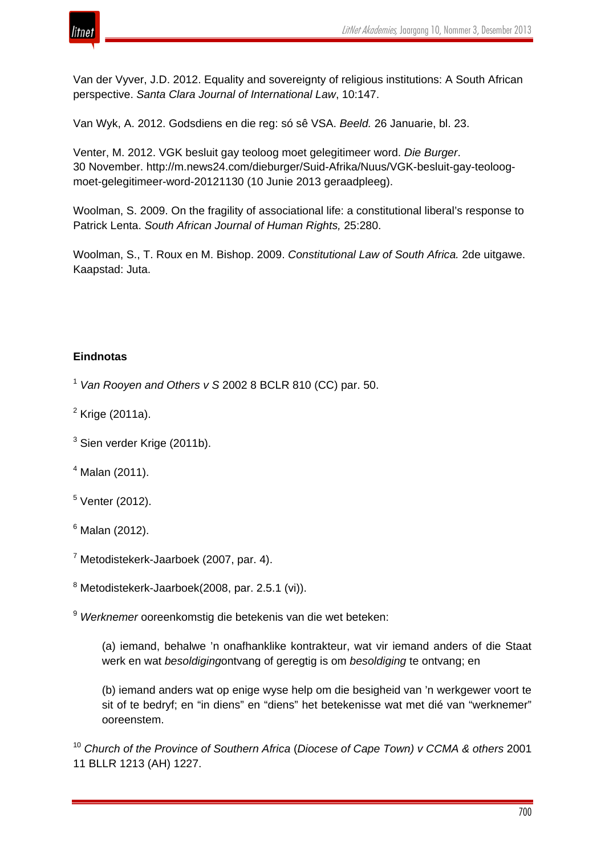

Van der Vyver, J.D. 2012. Equality and sovereignty of religious institutions: A South African perspective. *Santa Clara Journal of International Law*, 10:147.

Van Wyk, A. 2012. Godsdiens en die reg: só sê VSA. *Beeld.* 26 Januarie, bl. 23.

Venter, M. 2012. VGK besluit gay teoloog moet gelegitimeer word. *Die Burger*. 30 November. http://m.news24.com/dieburger/Suid-Afrika/Nuus/VGK-besluit-gay-teoloogmoet-gelegitimeer-word-20121130 (10 Junie 2013 geraadpleeg).

Woolman, S. 2009. On the fragility of associational life: a constitutional liberal's response to Patrick Lenta. *South African Journal of Human Rights,* 25:280.

Woolman, S., T. Roux en M. Bishop. 2009. *Constitutional Law of South Africa.* 2de uitgawe. Kaapstad: Juta.

# **Eindnotas**

<sup>1</sup> *Van Rooyen and Others v S* 2002 8 BCLR 810 (CC) par. 50.

- $<sup>2</sup>$  Krige (2011a).</sup>
- <sup>3</sup> Sien verder Krige (2011b).
- $4$  Malan (2011).
- $5$  Venter (2012).
- $6$  Malan (2012).
- <sup>7</sup> Metodistekerk-Jaarboek (2007, par. 4).
- <sup>8</sup> Metodistekerk-Jaarboek(2008, par. 2.5.1 (vi)).

<sup>9</sup> *Werknemer* ooreenkomstig die betekenis van die wet beteken:

(a) iemand, behalwe 'n onafhanklike kontrakteur, wat vir iemand anders of die Staat werk en wat *besoldiging*ontvang of geregtig is om *besoldiging* te ontvang; en

(b) iemand anders wat op enige wyse help om die besigheid van 'n werkgewer voort te sit of te bedryf; en "in diens" en "diens" het betekenisse wat met dié van "werknemer" ooreenstem.

<sup>10</sup> *Church of the Province of Southern Africa* (*Diocese of Cape Town) v CCMA & others* 2001 11 BLLR 1213 (AH) 1227.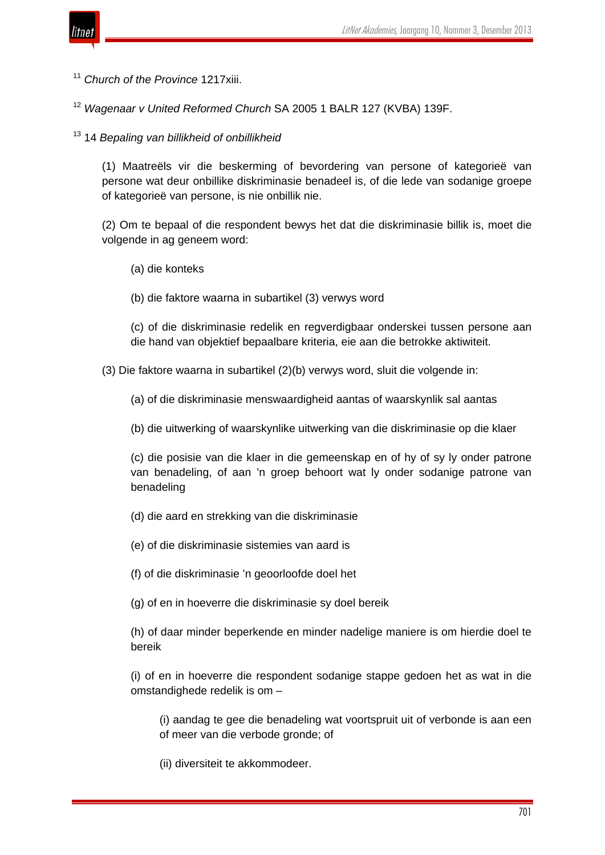

<sup>11</sup> *Church of the Province* 1217xiii.

<sup>12</sup> *Wagenaar v United Reformed Church* SA 2005 1 BALR 127 (KVBA) 139F.

<sup>13</sup> 14 *Bepaling van billikheid of onbillikheid*

(1) Maatreëls vir die beskerming of bevordering van persone of kategorieë van persone wat deur onbillike diskriminasie benadeel is, of die lede van sodanige groepe of kategorieë van persone, is nie onbillik nie.

(2) Om te bepaal of die respondent bewys het dat die diskriminasie billik is, moet die volgende in ag geneem word:

- (a) die konteks
- (b) die faktore waarna in subartikel (3) verwys word

(c) of die diskriminasie redelik en regverdigbaar onderskei tussen persone aan die hand van objektief bepaalbare kriteria, eie aan die betrokke aktiwiteit.

(3) Die faktore waarna in subartikel (2)(b) verwys word, sluit die volgende in:

(a) of die diskriminasie menswaardigheid aantas of waarskynlik sal aantas

(b) die uitwerking of waarskynlike uitwerking van die diskriminasie op die klaer

(c) die posisie van die klaer in die gemeenskap en of hy of sy ly onder patrone van benadeling, of aan 'n groep behoort wat ly onder sodanige patrone van benadeling

- (d) die aard en strekking van die diskriminasie
- (e) of die diskriminasie sistemies van aard is
- (f) of die diskriminasie 'n geoorloofde doel het
- (g) of en in hoeverre die diskriminasie sy doel bereik

(h) of daar minder beperkende en minder nadelige maniere is om hierdie doel te bereik

(i) of en in hoeverre die respondent sodanige stappe gedoen het as wat in die omstandighede redelik is om –

(i) aandag te gee die benadeling wat voortspruit uit of verbonde is aan een of meer van die verbode gronde; of

(ii) diversiteit te akkommodeer.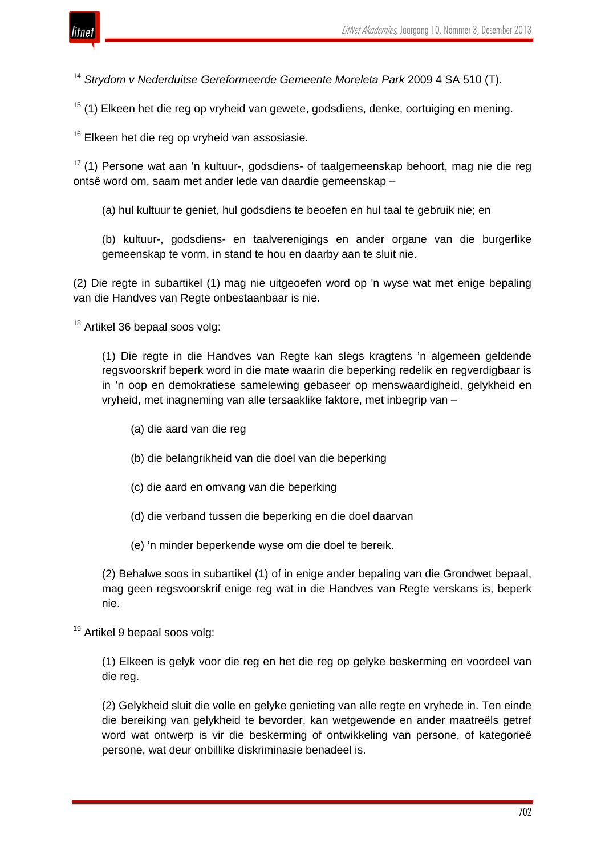

<sup>14</sup> *Strydom v Nederduitse Gereformeerde Gemeente Moreleta Park* 2009 4 SA 510 (T).

 $15$  (1) Elkeen het die reg op vryheid van gewete, godsdiens, denke, oortuiging en mening.

 $16$  Elkeen het die reg op vryheid van assosiasie.

 $17$  (1) Persone wat aan 'n kultuur-, godsdiens- of taalgemeenskap behoort, mag nie die reg ontsê word om, saam met ander lede van daardie gemeenskap –

(a) hul kultuur te geniet, hul godsdiens te beoefen en hul taal te gebruik nie; en

(b) kultuur-, godsdiens- en taalverenigings en ander organe van die burgerlike gemeenskap te vorm, in stand te hou en daarby aan te sluit nie.

(2) Die regte in subartikel (1) mag nie uitgeoefen word op 'n wyse wat met enige bepaling van die Handves van Regte onbestaanbaar is nie.

<sup>18</sup> Artikel 36 bepaal soos volg:

(1) Die regte in die Handves van Regte kan slegs kragtens 'n algemeen geldende regsvoorskrif beperk word in die mate waarin die beperking redelik en regverdigbaar is in 'n oop en demokratiese samelewing gebaseer op menswaardigheid, gelykheid en vryheid, met inagneming van alle tersaaklike faktore, met inbegrip van –

- (a) die aard van die reg
- (b) die belangrikheid van die doel van die beperking
- (c) die aard en omvang van die beperking
- (d) die verband tussen die beperking en die doel daarvan
- (e) 'n minder beperkende wyse om die doel te bereik.

(2) Behalwe soos in subartikel (1) of in enige ander bepaling van die Grondwet bepaal, mag geen regsvoorskrif enige reg wat in die Handves van Regte verskans is, beperk nie.

<sup>19</sup> Artikel 9 bepaal soos volg:

(1) Elkeen is gelyk voor die reg en het die reg op gelyke beskerming en voordeel van die reg.

(2) Gelykheid sluit die volle en gelyke genieting van alle regte en vryhede in. Ten einde die bereiking van gelykheid te bevorder, kan wetgewende en ander maatreëls getref word wat ontwerp is vir die beskerming of ontwikkeling van persone, of kategorieë persone, wat deur onbillike diskriminasie benadeel is.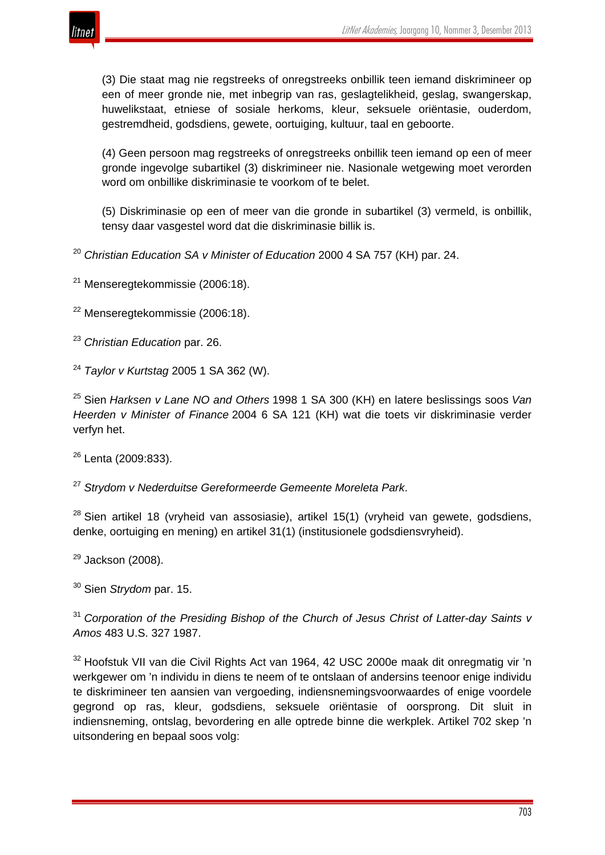

(3) Die staat mag nie regstreeks of onregstreeks onbillik teen iemand diskrimineer op een of meer gronde nie, met inbegrip van ras, geslagtelikheid, geslag, swangerskap, huwelikstaat, etniese of sosiale herkoms, kleur, seksuele oriëntasie, ouderdom, gestremdheid, godsdiens, gewete, oortuiging, kultuur, taal en geboorte.

(4) Geen persoon mag regstreeks of onregstreeks onbillik teen iemand op een of meer gronde ingevolge subartikel (3) diskrimineer nie. Nasionale wetgewing moet verorden word om onbillike diskriminasie te voorkom of te belet.

(5) Diskriminasie op een of meer van die gronde in subartikel (3) vermeld, is onbillik, tensy daar vasgestel word dat die diskriminasie billik is.

<sup>20</sup> *Christian Education SA v Minister of Education* 2000 4 SA 757 (KH) par. 24.

 $21$  Menseregtekommissie (2006:18).

<sup>22</sup> Menseregtekommissie (2006:18).

<sup>23</sup> *Christian Education* par. 26.

<sup>24</sup> *Taylor v Kurtstag* 2005 1 SA 362 (W).

<sup>25</sup> Sien *Harksen v Lane NO and Others* 1998 1 SA 300 (KH) en latere beslissings soos *Van Heerden v Minister of Finance* 2004 6 SA 121 (KH) wat die toets vir diskriminasie verder verfyn het.

<sup>26</sup> Lenta (2009:833).

<sup>27</sup> *Strydom v Nederduitse Gereformeerde Gemeente Moreleta Park*.

 $28$  Sien artikel 18 (vryheid van assosiasie), artikel 15(1) (vryheid van gewete, godsdiens, denke, oortuiging en mening) en artikel 31(1) (institusionele godsdiensvryheid).

 $29$  Jackson (2008).

<sup>30</sup> Sien *Strydom* par. 15.

<sup>31</sup> *Corporation of the Presiding Bishop of the Church of Jesus Christ of Latter-day Saints v Amos* 483 U.S. 327 1987.

<sup>32</sup> Hoofstuk VII van die Civil Rights Act van 1964, 42 USC 2000e maak dit onregmatig vir 'n werkgewer om 'n individu in diens te neem of te ontslaan of andersins teenoor enige individu te diskrimineer ten aansien van vergoeding, indiensnemingsvoorwaardes of enige voordele gegrond op ras, kleur, godsdiens, seksuele oriëntasie of oorsprong. Dit sluit in indiensneming, ontslag, bevordering en alle optrede binne die werkplek. Artikel 702 skep 'n uitsondering en bepaal soos volg: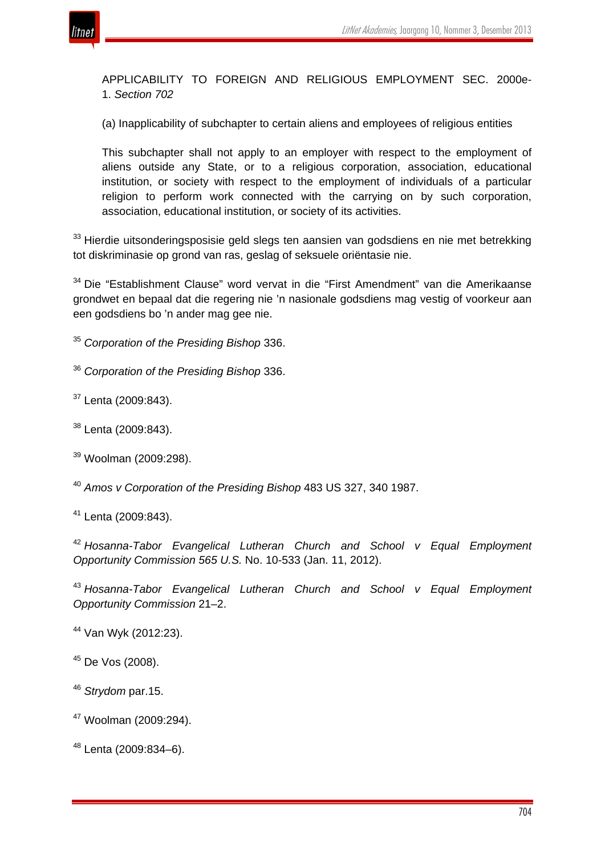

APPLICABILITY TO FOREIGN AND RELIGIOUS EMPLOYMENT SEC. 2000e-1. *Section 702*

(a) Inapplicability of subchapter to certain aliens and employees of religious entities

This subchapter shall not apply to an employer with respect to the employment of aliens outside any State, or to a religious corporation, association, educational institution, or society with respect to the employment of individuals of a particular religion to perform work connected with the carrying on by such corporation, association, educational institution, or society of its activities.

<sup>33</sup> Hierdie uitsonderingsposisie geld slegs ten aansien van godsdiens en nie met betrekking tot diskriminasie op grond van ras, geslag of seksuele oriëntasie nie.

<sup>34</sup> Die "Establishment Clause" word vervat in die "First Amendment" van die Amerikaanse grondwet en bepaal dat die regering nie 'n nasionale godsdiens mag vestig of voorkeur aan een godsdiens bo 'n ander mag gee nie.

<sup>35</sup> *Corporation of the Presiding Bishop* 336.

<sup>36</sup> *Corporation of the Presiding Bishop* 336.

<sup>37</sup> Lenta (2009:843).

<sup>38</sup> Lenta (2009:843).

<sup>39</sup> Woolman (2009:298).

<sup>40</sup> *Amos v Corporation of the Presiding Bishop* 483 US 327, 340 1987.

<sup>41</sup> Lenta (2009:843).

<sup>42</sup> *Hosanna-Tabor Evangelical Lutheran Church and School v Equal Employment Opportunity Commission 565 U.S.* No. 10-533 (Jan. 11, 2012).

<sup>43</sup> *Hosanna-Tabor Evangelical Lutheran Church and School v Equal Employment Opportunity Commission* 21–2.

<sup>44</sup> Van Wyk (2012:23).

<sup>45</sup> De Vos (2008).

<sup>46</sup> *Strydom* par.15.

<sup>47</sup> Woolman (2009:294).

<sup>48</sup> Lenta (2009:834–6).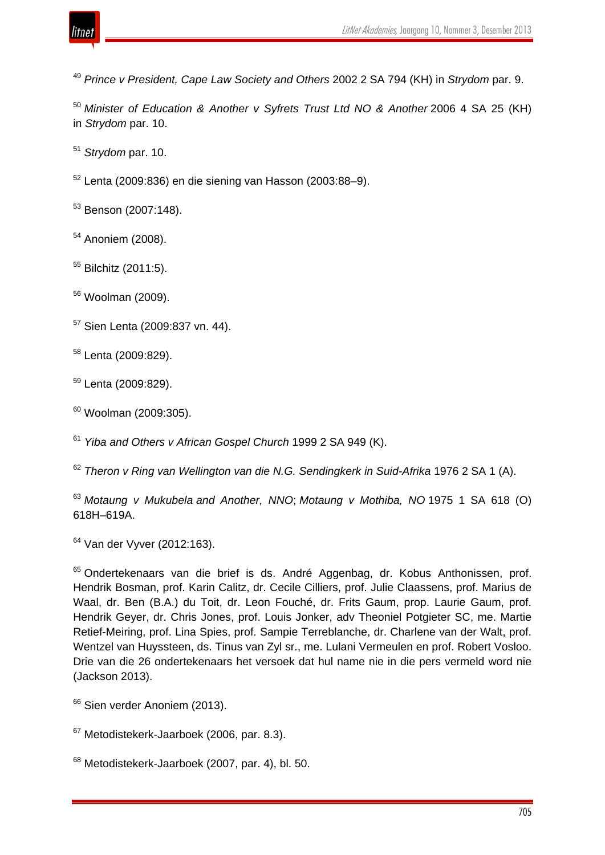

*Prince v President, Cape Law Society and Others* 2002 2 SA 794 (KH) in *Strydom* par. 9.

 *Minister of Education & Another v Syfrets Trust Ltd NO & Another* 2006 4 SA 25 (KH) in *Strydom* par. 10.

*Strydom* par. 10.

Lenta (2009:836) en die siening van Hasson (2003:88–9).

Benson (2007:148).

Anoniem (2008).

Bilchitz (2011:5).

Woolman (2009).

Sien Lenta (2009:837 vn. 44).

Lenta (2009:829).

Lenta (2009:829).

Woolman (2009:305).

*Yiba and Others v African Gospel Church* 1999 2 SA 949 (K).

*Theron v Ring van Wellington van die N.G. Sendingkerk in Suid-Afrika* 1976 2 SA 1 (A).

 *Motaung v Mukubela and Another, NNO*; *Motaung v Mothiba, NO* 1975 1 SA 618 (O) 618H–619A.

Van der Vyver (2012:163).

<sup>65</sup> Ondertekenaars van die brief is ds. André Aggenbag, dr. Kobus Anthonissen, prof. Hendrik Bosman, prof. Karin Calitz, dr. Cecile Cilliers, prof. Julie Claassens, prof. Marius de Waal, dr. Ben (B.A.) du Toit, dr. Leon Fouché, dr. Frits Gaum, prop. Laurie Gaum, prof. Hendrik Geyer, dr. Chris Jones, prof. Louis Jonker, adv Theoniel Potgieter SC, me. Martie Retief-Meiring, prof. Lina Spies, prof. Sampie Terreblanche, dr. Charlene van der Walt, prof. Wentzel van Huyssteen, ds. Tinus van Zyl sr., me. Lulani Vermeulen en prof. Robert Vosloo. Drie van die 26 ondertekenaars het versoek dat hul name nie in die pers vermeld word nie (Jackson 2013).

<sup>66</sup> Sien verder Anoniem (2013).

Metodistekerk-Jaarboek (2006, par. 8.3).

Metodistekerk-Jaarboek (2007, par. 4), bl. 50.